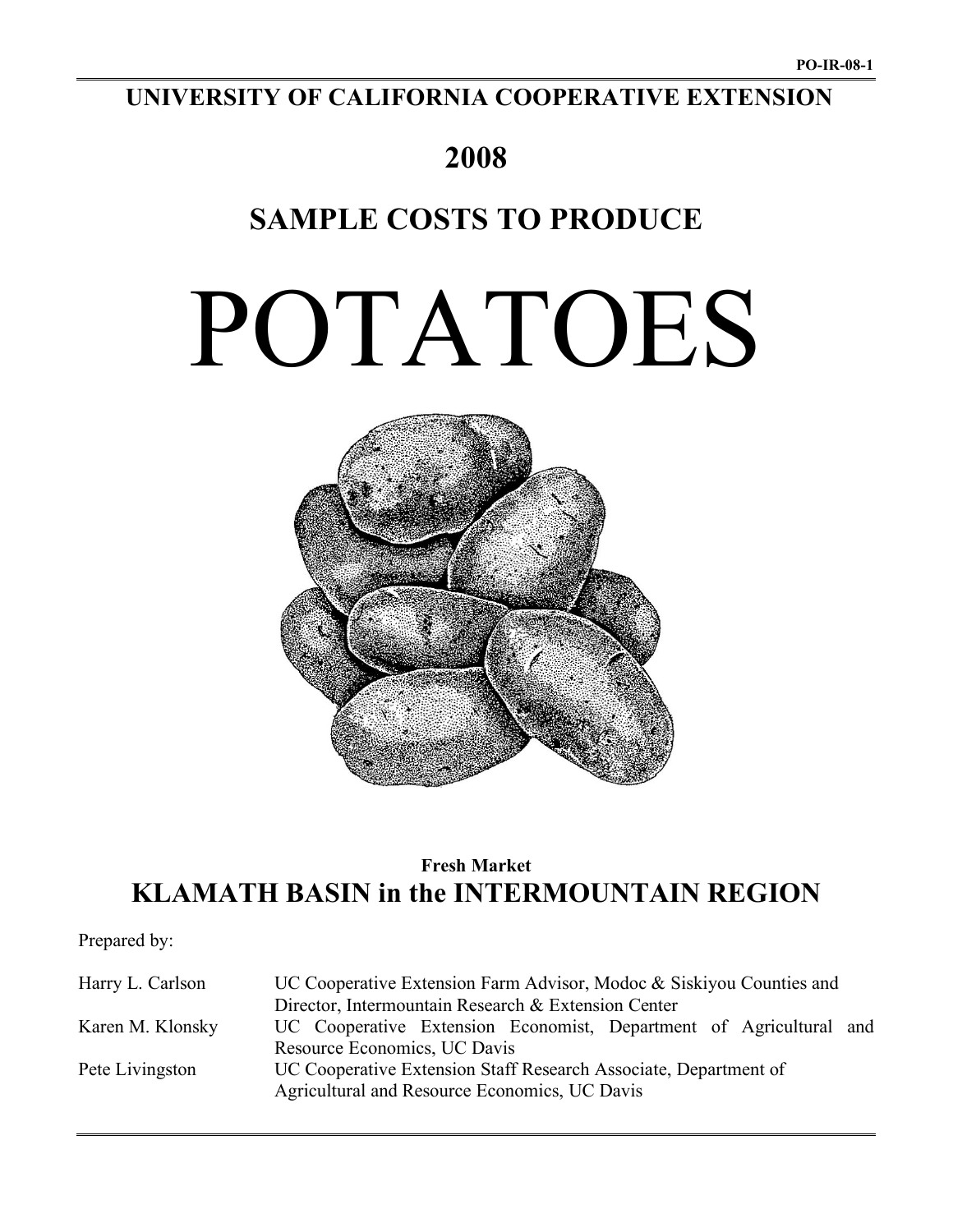## **UNIVERSITY OF CALIFORNIA COOPERATIVE EXTENSION**

# **2008**

## **SAMPLE COSTS TO PRODUCE**

# POTATOES



## **Fresh Market KLAMATH BASIN in the INTERMOUNTAIN REGION**

Prepared by:

| Harry L. Carlson | UC Cooperative Extension Farm Advisor, Modoc & Siskiyou Counties and |  |  |  |  |  |  |  |
|------------------|----------------------------------------------------------------------|--|--|--|--|--|--|--|
|                  | Director, Intermountain Research & Extension Center                  |  |  |  |  |  |  |  |
| Karen M. Klonsky | UC Cooperative Extension Economist, Department of Agricultural and   |  |  |  |  |  |  |  |
|                  | Resource Economics, UC Davis                                         |  |  |  |  |  |  |  |
| Pete Livingston  | UC Cooperative Extension Staff Research Associate, Department of     |  |  |  |  |  |  |  |
|                  | Agricultural and Resource Economics, UC Davis                        |  |  |  |  |  |  |  |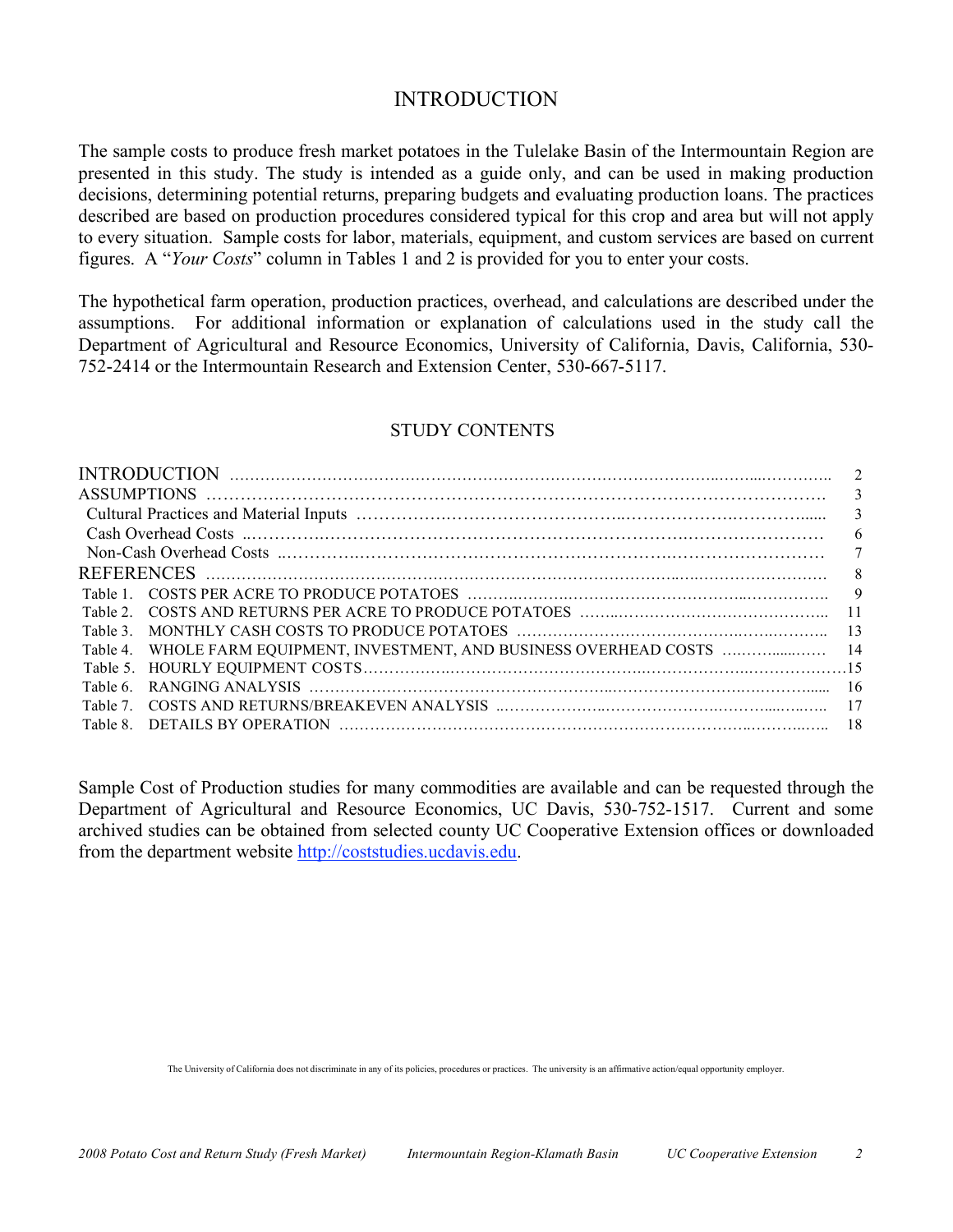#### INTRODUCTION

The sample costs to produce fresh market potatoes in the Tulelake Basin of the Intermountain Region are presented in this study. The study is intended as a guide only, and can be used in making production decisions, determining potential returns, preparing budgets and evaluating production loans. The practices described are based on production procedures considered typical for this crop and area but will not apply to every situation. Sample costs for labor, materials, equipment, and custom services are based on current figures. A "*Your Costs*" column in Tables 1 and 2 is provided for you to enter your costs.

The hypothetical farm operation, production practices, overhead, and calculations are described under the assumptions. For additional information or explanation of calculations used in the study call the Department of Agricultural and Resource Economics, University of California, Davis, California, 530- 752-2414 or the Intermountain Research and Extension Center, 530-667-5117.

#### STUDY CONTENTS

|                                                                        | 2  |
|------------------------------------------------------------------------|----|
|                                                                        | 3  |
|                                                                        | 3  |
|                                                                        | 6  |
|                                                                        | 7  |
|                                                                        | 8  |
|                                                                        |    |
|                                                                        |    |
|                                                                        |    |
| Table 4. WHOLE FARM EQUIPMENT, INVESTMENT, AND BUSINESS OVERHEAD COSTS | 14 |
|                                                                        |    |
| Table 6.                                                               |    |
|                                                                        |    |
| Table 8                                                                | 18 |
|                                                                        |    |

Sample Cost of Production studies for many commodities are available and can be requested through the Department of Agricultural and Resource Economics, UC Davis, 530-752-1517. Current and some archived studies can be obtained from selected county UC Cooperative Extension offices or downloaded from the department website http://coststudies.ucdavis.edu.

The University of California does not discriminate in any of its policies, procedures or practices. The university is an affirmative action/equal opportunity employer.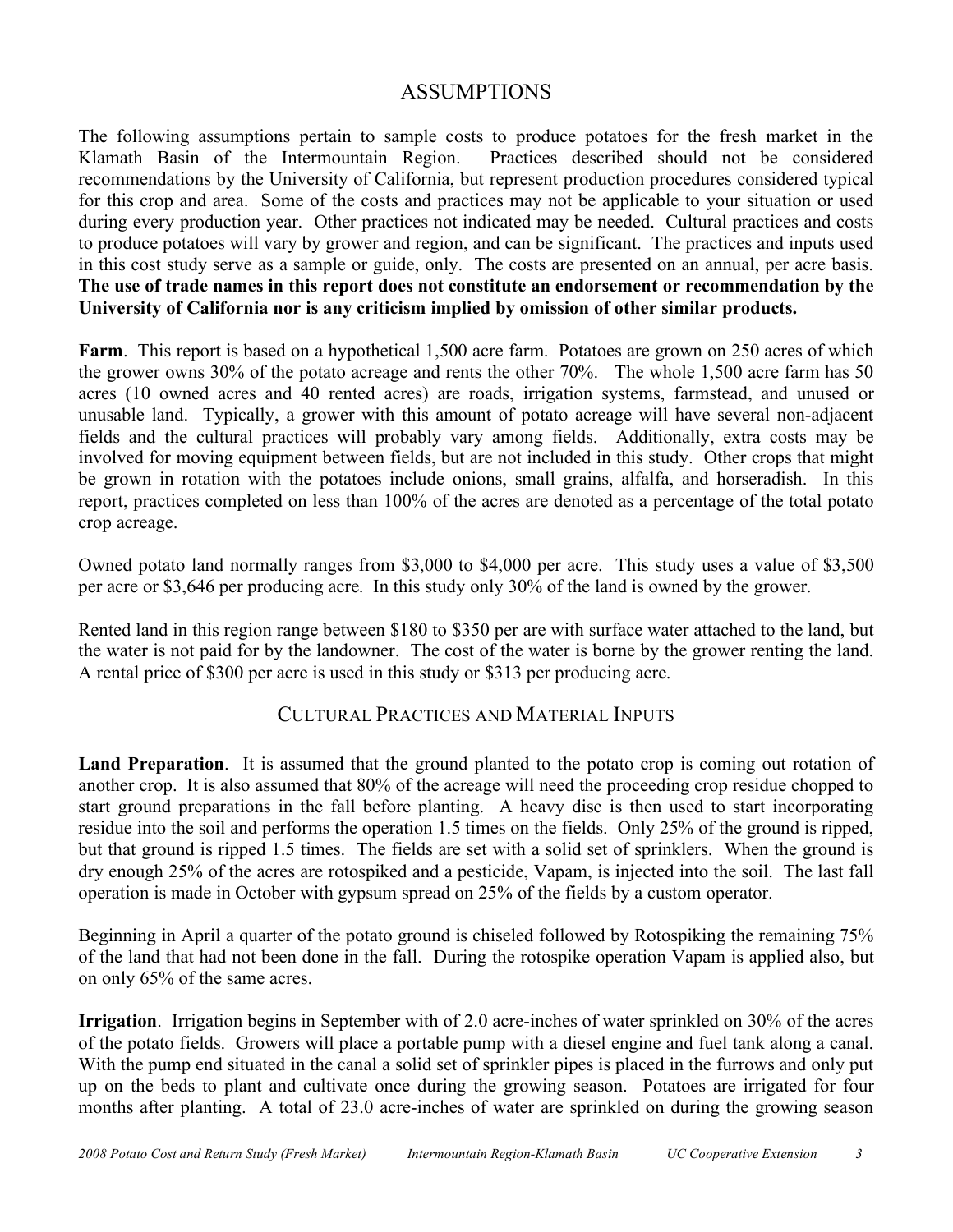## ASSUMPTIONS

The following assumptions pertain to sample costs to produce potatoes for the fresh market in the Klamath Basin of the Intermountain Region. Practices described should not be considered recommendations by the University of California, but represent production procedures considered typical for this crop and area. Some of the costs and practices may not be applicable to your situation or used during every production year. Other practices not indicated may be needed. Cultural practices and costs to produce potatoes will vary by grower and region, and can be significant. The practices and inputs used in this cost study serve as a sample or guide, only. The costs are presented on an annual, per acre basis. **The use of trade names in this report does not constitute an endorsement or recommendation by the University of California nor is any criticism implied by omission of other similar products.**

**Farm**. This report is based on a hypothetical 1,500 acre farm. Potatoes are grown on 250 acres of which the grower owns 30% of the potato acreage and rents the other 70%. The whole 1,500 acre farm has 50 acres (10 owned acres and 40 rented acres) are roads, irrigation systems, farmstead, and unused or unusable land. Typically, a grower with this amount of potato acreage will have several non-adjacent fields and the cultural practices will probably vary among fields. Additionally, extra costs may be involved for moving equipment between fields, but are not included in this study. Other crops that might be grown in rotation with the potatoes include onions, small grains, alfalfa, and horseradish. In this report, practices completed on less than 100% of the acres are denoted as a percentage of the total potato crop acreage.

Owned potato land normally ranges from \$3,000 to \$4,000 per acre. This study uses a value of \$3,500 per acre or \$3,646 per producing acre. In this study only 30% of the land is owned by the grower.

Rented land in this region range between \$180 to \$350 per are with surface water attached to the land, but the water is not paid for by the landowner. The cost of the water is borne by the grower renting the land. A rental price of \$300 per acre is used in this study or \$313 per producing acre.

#### CULTURAL PRACTICES AND MATERIAL INPUTS

**Land Preparation**. It is assumed that the ground planted to the potato crop is coming out rotation of another crop. It is also assumed that 80% of the acreage will need the proceeding crop residue chopped to start ground preparations in the fall before planting. A heavy disc is then used to start incorporating residue into the soil and performs the operation 1.5 times on the fields. Only 25% of the ground is ripped, but that ground is ripped 1.5 times. The fields are set with a solid set of sprinklers. When the ground is dry enough 25% of the acres are rotospiked and a pesticide, Vapam, is injected into the soil. The last fall operation is made in October with gypsum spread on 25% of the fields by a custom operator.

Beginning in April a quarter of the potato ground is chiseled followed by Rotospiking the remaining 75% of the land that had not been done in the fall. During the rotospike operation Vapam is applied also, but on only 65% of the same acres.

**Irrigation**. Irrigation begins in September with of 2.0 acre-inches of water sprinkled on 30% of the acres of the potato fields. Growers will place a portable pump with a diesel engine and fuel tank along a canal. With the pump end situated in the canal a solid set of sprinkler pipes is placed in the furrows and only put up on the beds to plant and cultivate once during the growing season. Potatoes are irrigated for four months after planting. A total of 23.0 acre-inches of water are sprinkled on during the growing season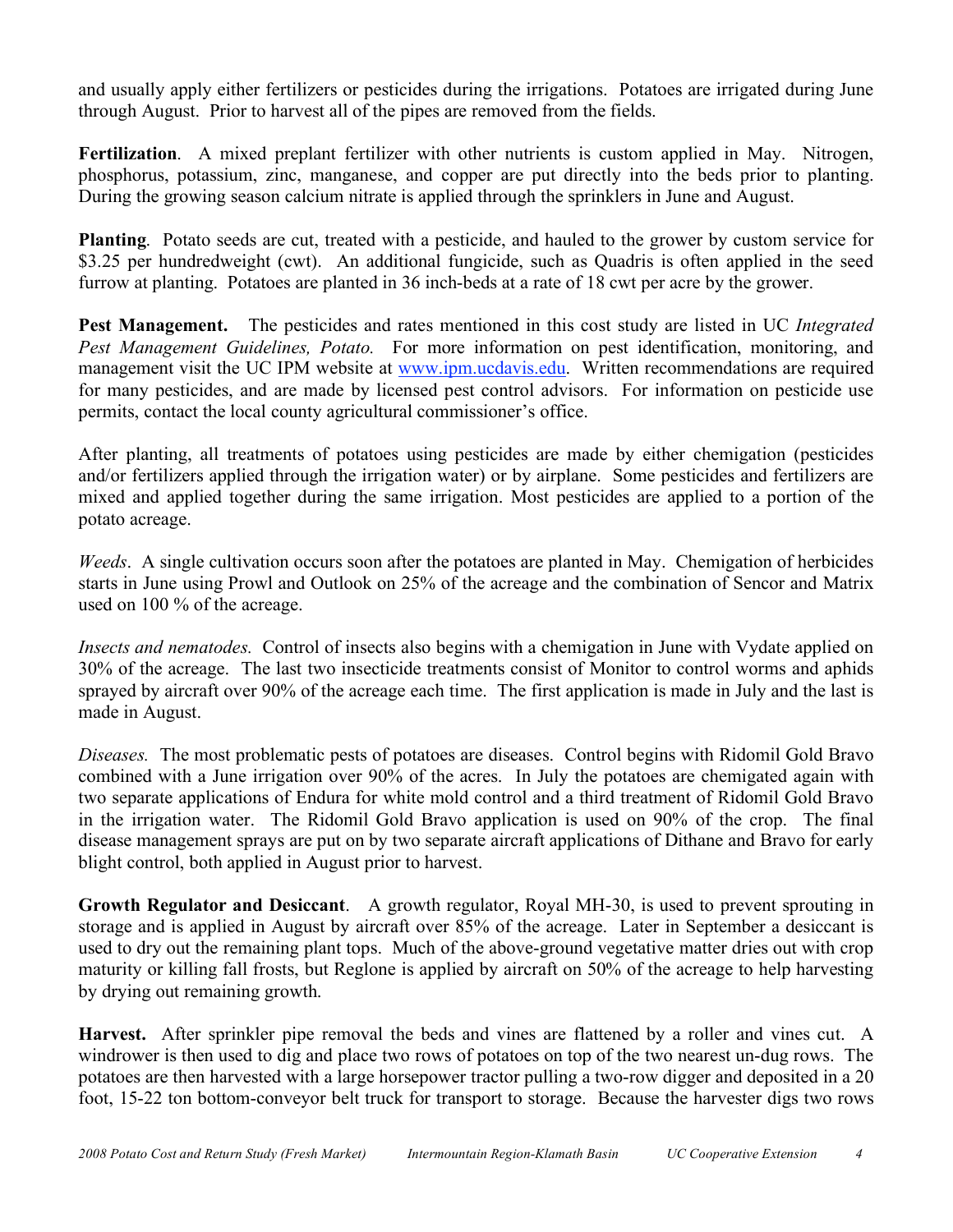and usually apply either fertilizers or pesticides during the irrigations. Potatoes are irrigated during June through August. Prior to harvest all of the pipes are removed from the fields.

**Fertilization**. A mixed preplant fertilizer with other nutrients is custom applied in May. Nitrogen, phosphorus, potassium, zinc, manganese, and copper are put directly into the beds prior to planting. During the growing season calcium nitrate is applied through the sprinklers in June and August.

**Planting**. Potato seeds are cut, treated with a pesticide, and hauled to the grower by custom service for \$3.25 per hundredweight (cwt). An additional fungicide, such as Quadris is often applied in the seed furrow at planting. Potatoes are planted in 36 inch-beds at a rate of 18 cwt per acre by the grower.

**Pest Management.** The pesticides and rates mentioned in this cost study are listed in UC *Integrated Pest Management Guidelines, Potato.* For more information on pest identification, monitoring, and management visit the UC IPM website at www.ipm.ucdavis.edu. Written recommendations are required for many pesticides, and are made by licensed pest control advisors. For information on pesticide use permits, contact the local county agricultural commissioner's office.

After planting, all treatments of potatoes using pesticides are made by either chemigation (pesticides and/or fertilizers applied through the irrigation water) or by airplane. Some pesticides and fertilizers are mixed and applied together during the same irrigation. Most pesticides are applied to a portion of the potato acreage.

*Weeds*. A single cultivation occurs soon after the potatoes are planted in May. Chemigation of herbicides starts in June using Prowl and Outlook on 25% of the acreage and the combination of Sencor and Matrix used on 100 % of the acreage.

*Insects and nematodes.* Control of insects also begins with a chemigation in June with Vydate applied on 30% of the acreage. The last two insecticide treatments consist of Monitor to control worms and aphids sprayed by aircraft over 90% of the acreage each time. The first application is made in July and the last is made in August.

*Diseases.* The most problematic pests of potatoes are diseases. Control begins with Ridomil Gold Bravo combined with a June irrigation over 90% of the acres. In July the potatoes are chemigated again with two separate applications of Endura for white mold control and a third treatment of Ridomil Gold Bravo in the irrigation water. The Ridomil Gold Bravo application is used on 90% of the crop. The final disease management sprays are put on by two separate aircraft applications of Dithane and Bravo for early blight control, both applied in August prior to harvest.

**Growth Regulator and Desiccant**. A growth regulator, Royal MH-30, is used to prevent sprouting in storage and is applied in August by aircraft over 85% of the acreage. Later in September a desiccant is used to dry out the remaining plant tops. Much of the above-ground vegetative matter dries out with crop maturity or killing fall frosts, but Reglone is applied by aircraft on 50% of the acreage to help harvesting by drying out remaining growth.

**Harvest.** After sprinkler pipe removal the beds and vines are flattened by a roller and vines cut. A windrower is then used to dig and place two rows of potatoes on top of the two nearest un-dug rows. The potatoes are then harvested with a large horsepower tractor pulling a two-row digger and deposited in a 20 foot, 15-22 ton bottom-conveyor belt truck for transport to storage. Because the harvester digs two rows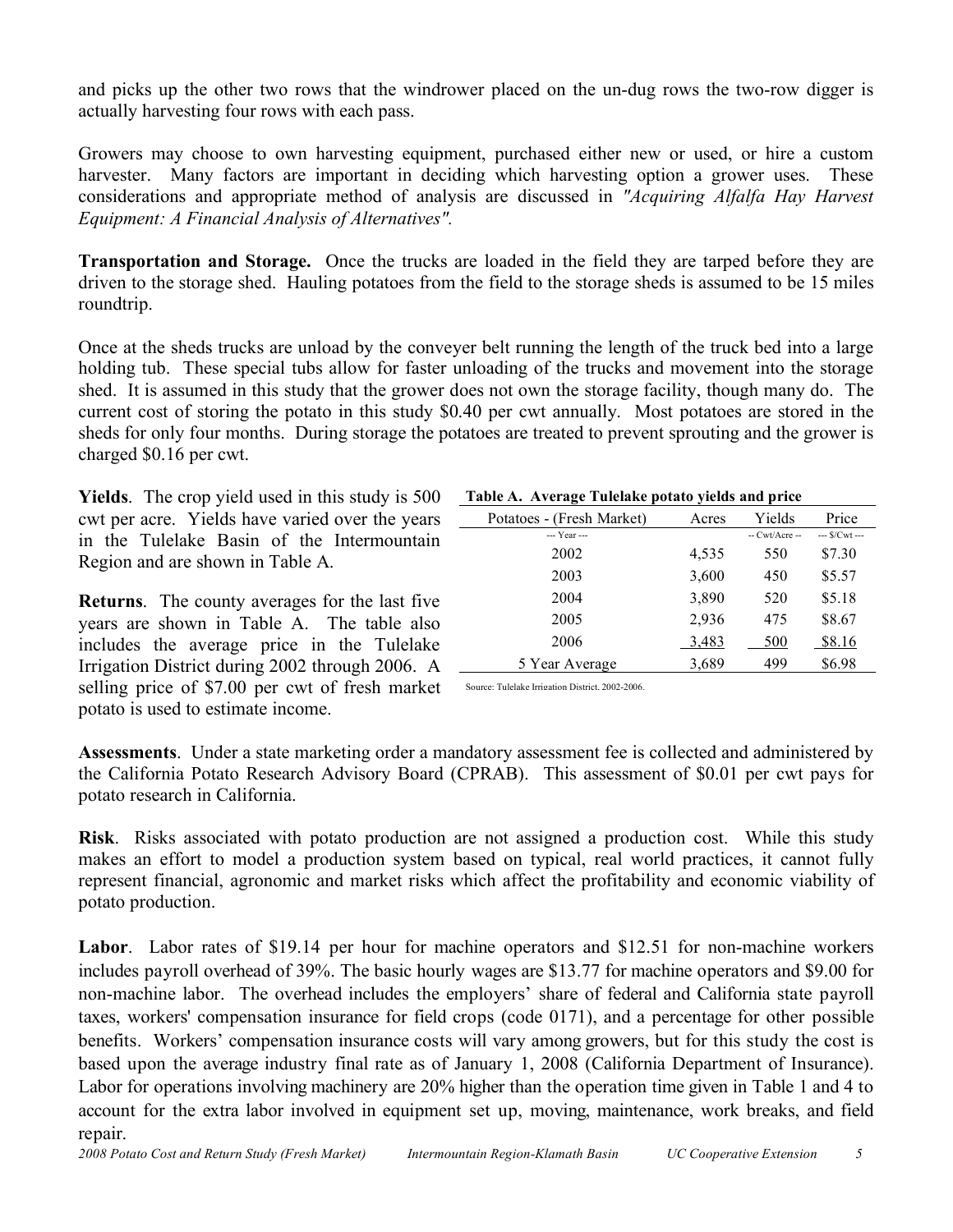and picks up the other two rows that the windrower placed on the un-dug rows the two-row digger is actually harvesting four rows with each pass.

Growers may choose to own harvesting equipment, purchased either new or used, or hire a custom harvester. Many factors are important in deciding which harvesting option a grower uses. These considerations and appropriate method of analysis are discussed in *"Acquiring Alfalfa Hay Harvest Equipment: A Financial Analysis of Alternatives".*

**Transportation and Storage.** Once the trucks are loaded in the field they are tarped before they are driven to the storage shed. Hauling potatoes from the field to the storage sheds is assumed to be 15 miles roundtrip.

Once at the sheds trucks are unload by the conveyer belt running the length of the truck bed into a large holding tub. These special tubs allow for faster unloading of the trucks and movement into the storage shed. It is assumed in this study that the grower does not own the storage facility, though many do. The current cost of storing the potato in this study \$0.40 per cwt annually. Most potatoes are stored in the sheds for only four months. During storage the potatoes are treated to prevent sprouting and the grower is charged \$0.16 per cwt.

**Yields**. The crop yield used in this study is 500 cwt per acre. Yields have varied over the years in the Tulelake Basin of the Intermountain Region and are shown in Table A.

**Returns**. The county averages for the last five years are shown in Table A. The table also includes the average price in the Tulelake Irrigation District during 2002 through 2006. A selling price of \$7.00 per cwt of fresh market potato is used to estimate income.

| Table A. Average Tulelake potato yields and price |  |  |  |
|---------------------------------------------------|--|--|--|
|                                                   |  |  |  |

| Potatoes - (Fresh Market) | Acres | Yields         | Price         |  |
|---------------------------|-------|----------------|---------------|--|
| --- Year ---              |       | $-Cwt/Accre -$ | $-$ S/Cwt $-$ |  |
| 2002                      | 4,535 | 550            | \$7.30        |  |
| 2003                      | 3,600 | 450            | \$5.57        |  |
| 2004                      | 3,890 | 520            | \$5.18        |  |
| 2005                      | 2,936 | 475            | \$8.67        |  |
| 2006                      | 3,483 | 500            | \$8.16        |  |
| 5 Year Average            | 3,689 | 499            | \$6.98        |  |

Source: Tulelake Irrigation District, 2002-2006.

**Assessments**. Under a state marketing order a mandatory assessment fee is collected and administered by the California Potato Research Advisory Board (CPRAB). This assessment of \$0.01 per cwt pays for potato research in California.

**Risk**. Risks associated with potato production are not assigned a production cost. While this study makes an effort to model a production system based on typical, real world practices, it cannot fully represent financial, agronomic and market risks which affect the profitability and economic viability of potato production.

**Labor**. Labor rates of \$19.14 per hour for machine operators and \$12.51 for non-machine workers includes payroll overhead of 39%. The basic hourly wages are \$13.77 for machine operators and \$9.00 for non-machine labor. The overhead includes the employers' share of federal and California state payroll taxes, workers' compensation insurance for field crops (code 0171), and a percentage for other possible benefits. Workers' compensation insurance costs will vary among growers, but for this study the cost is based upon the average industry final rate as of January 1, 2008 (California Department of Insurance). Labor for operations involving machinery are 20% higher than the operation time given in Table 1 and 4 to account for the extra labor involved in equipment set up, moving, maintenance, work breaks, and field repair.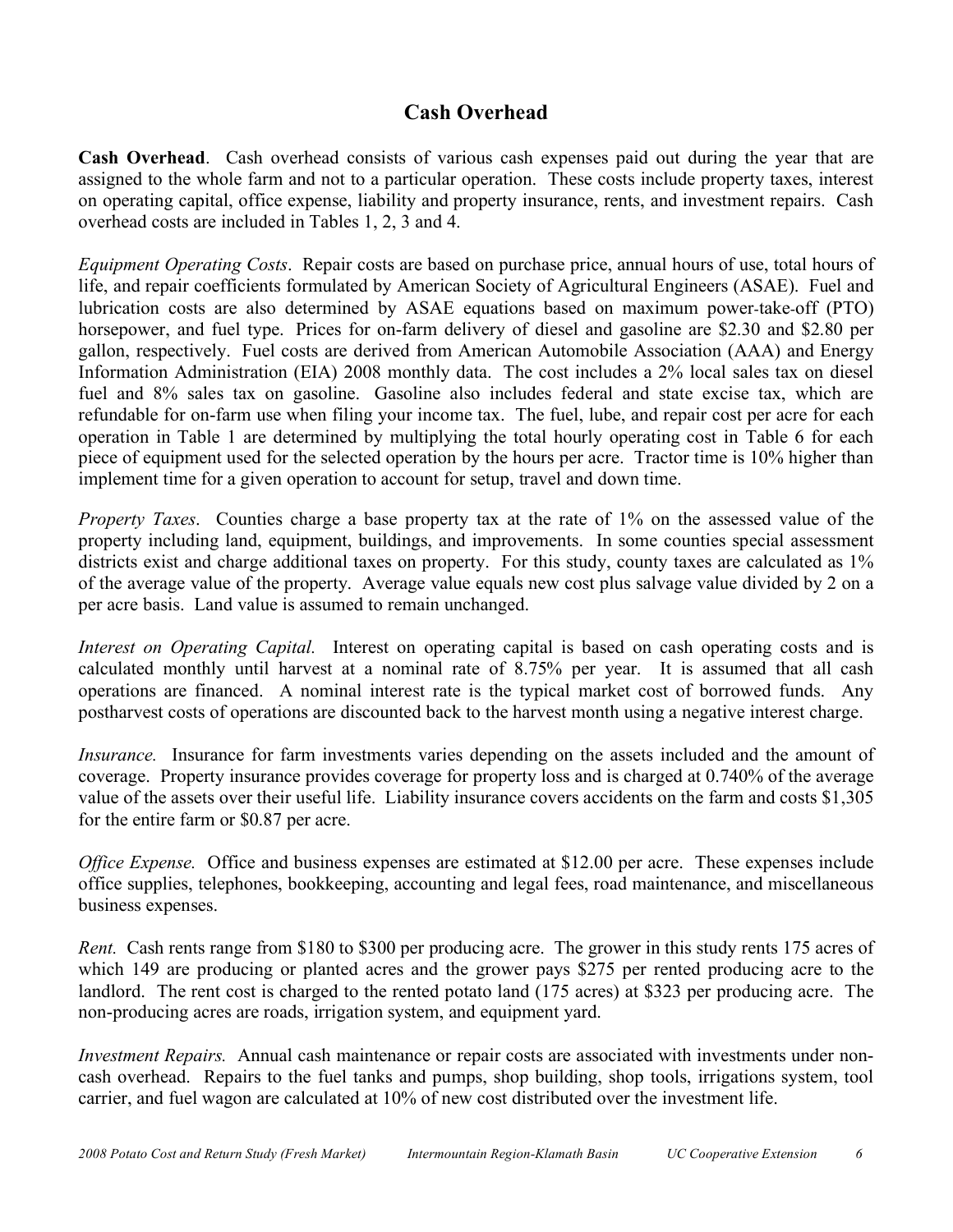## **Cash Overhead**

**Cash Overhead**. Cash overhead consists of various cash expenses paid out during the year that are assigned to the whole farm and not to a particular operation. These costs include property taxes, interest on operating capital, office expense, liability and property insurance, rents, and investment repairs. Cash overhead costs are included in Tables 1, 2, 3 and 4.

*Equipment Operating Costs*. Repair costs are based on purchase price, annual hours of use, total hours of life, and repair coefficients formulated by American Society of Agricultural Engineers (ASAE). Fuel and lubrication costs are also determined by ASAE equations based on maximum power-take-off (PTO) horsepower, and fuel type. Prices for on-farm delivery of diesel and gasoline are \$2.30 and \$2.80 per gallon, respectively. Fuel costs are derived from American Automobile Association (AAA) and Energy Information Administration (EIA) 2008 monthly data. The cost includes a 2% local sales tax on diesel fuel and 8% sales tax on gasoline. Gasoline also includes federal and state excise tax, which are refundable for on-farm use when filing your income tax. The fuel, lube, and repair cost per acre for each operation in Table 1 are determined by multiplying the total hourly operating cost in Table 6 for each piece of equipment used for the selected operation by the hours per acre. Tractor time is 10% higher than implement time for a given operation to account for setup, travel and down time.

*Property Taxes*. Counties charge a base property tax at the rate of 1% on the assessed value of the property including land, equipment, buildings, and improvements. In some counties special assessment districts exist and charge additional taxes on property. For this study, county taxes are calculated as  $1\%$ of the average value of the property. Average value equals new cost plus salvage value divided by 2 on a per acre basis. Land value is assumed to remain unchanged.

*Interest on Operating Capital.* Interest on operating capital is based on cash operating costs and is calculated monthly until harvest at a nominal rate of 8.75% per year. It is assumed that all cash operations are financed. A nominal interest rate is the typical market cost of borrowed funds. Any postharvest costs of operations are discounted back to the harvest month using a negative interest charge.

*Insurance.* Insurance for farm investments varies depending on the assets included and the amount of coverage. Property insurance provides coverage for property loss and is charged at 0.740% of the average value of the assets over their useful life. Liability insurance covers accidents on the farm and costs \$1,305 for the entire farm or \$0.87 per acre.

*Office Expense.* Office and business expenses are estimated at \$12.00 per acre. These expenses include office supplies, telephones, bookkeeping, accounting and legal fees, road maintenance, and miscellaneous business expenses.

*Rent.* Cash rents range from \$180 to \$300 per producing acre. The grower in this study rents 175 acres of which 149 are producing or planted acres and the grower pays \$275 per rented producing acre to the landlord. The rent cost is charged to the rented potato land (175 acres) at \$323 per producing acre. The non-producing acres are roads, irrigation system, and equipment yard.

*Investment Repairs.* Annual cash maintenance or repair costs are associated with investments under noncash overhead. Repairs to the fuel tanks and pumps, shop building, shop tools, irrigations system, tool carrier, and fuel wagon are calculated at 10% of new cost distributed over the investment life.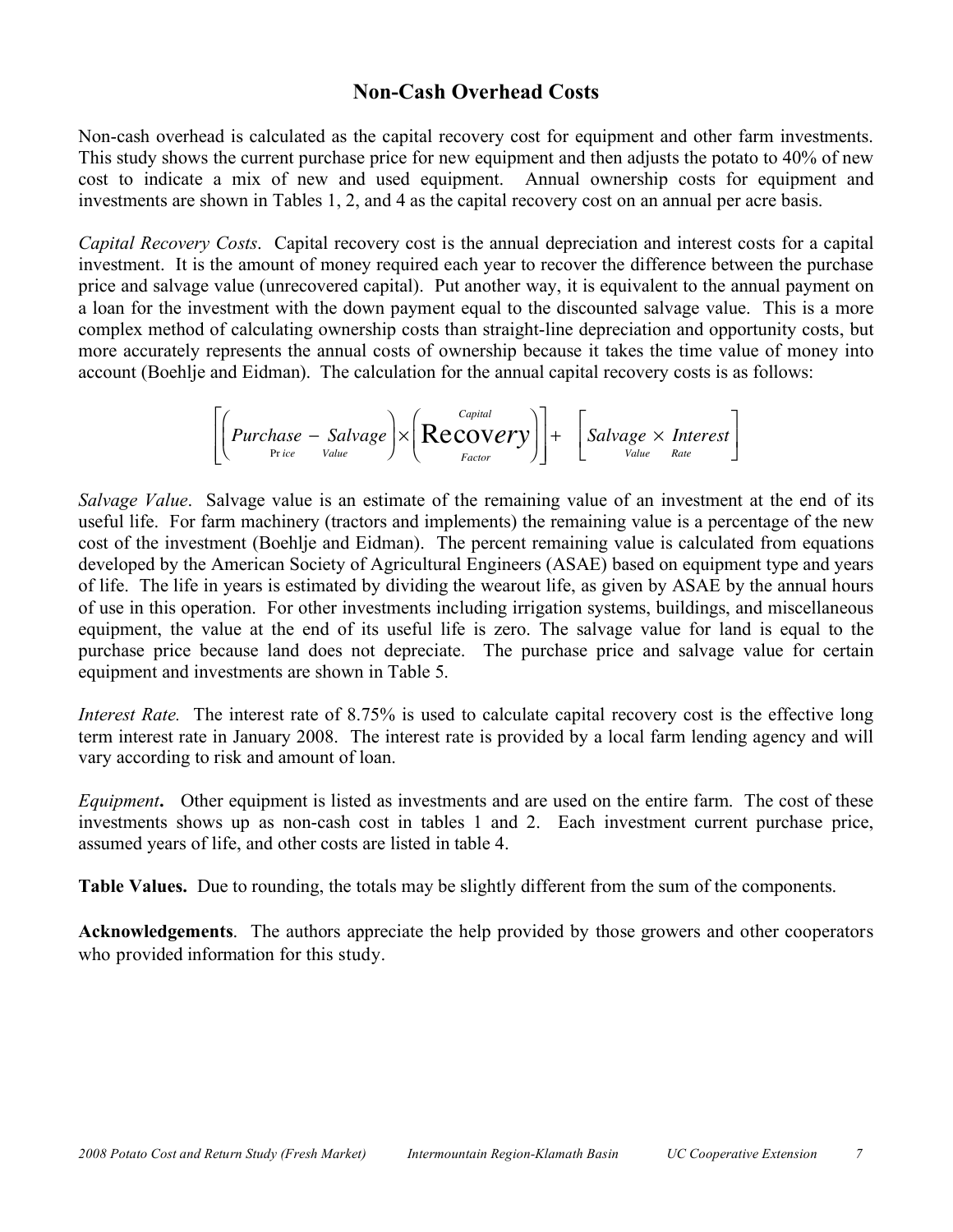### **Non-Cash Overhead Costs**

Non-cash overhead is calculated as the capital recovery cost for equipment and other farm investments. This study shows the current purchase price for new equipment and then adjusts the potato to 40% of new cost to indicate a mix of new and used equipment. Annual ownership costs for equipment and investments are shown in Tables 1, 2, and 4 as the capital recovery cost on an annual per acre basis.

*Capital Recovery Costs*. Capital recovery cost is the annual depreciation and interest costs for a capital investment. It is the amount of money required each year to recover the difference between the purchase price and salvage value (unrecovered capital). Put another way, it is equivalent to the annual payment on a loan for the investment with the down payment equal to the discounted salvage value. This is a more complex method of calculating ownership costs than straight-line depreciation and opportunity costs, but more accurately represents the annual costs of ownership because it takes the time value of money into account (Boehlje and Eidman). The calculation for the annual capital recovery costs is as follows:

$$
\left[\left(\text{Purchase} - \text{Salvage}\right) \times \left(\text{Recovery}\right)\right] + \left[\text{Salvage} \times \text{Interest}\right]
$$

Í *Salvage Value*. Salvage value is an estimate of the remaining value of an investment at the end of its useful life. For farm machinery (tractors and implements) the remaining value is a percentage of the new cost of the investment (Boehlje and Eidman). The percent remaining value is calculated from equations developed by the American Society of Agricultural Engineers (ASAE) based on equipment type and years of life. The life in years is estimated by dividing the wearout life, as given by ASAE by the annual hours of use in this operation. For other investments including irrigation systems, buildings, and miscellaneous equipment, the value at the end of its useful life is zero. The salvage value for land is equal to the purchase price because land does not depreciate. The purchase price and salvage value for certain equipment and investments are shown in Table 5.

*Interest Rate.* The interest rate of 8.75% is used to calculate capital recovery cost is the effective long term interest rate in January 2008. The interest rate is provided by a local farm lending agency and will vary according to risk and amount of loan.

*Equipment***.** Other equipment is listed as investments and are used on the entire farm. The cost of these investments shows up as non-cash cost in tables 1 and 2. Each investment current purchase price, assumed years of life, and other costs are listed in table 4.

**Table Values.** Due to rounding, the totals may be slightly different from the sum of the components.

**Acknowledgements**. The authors appreciate the help provided by those growers and other cooperators who provided information for this study.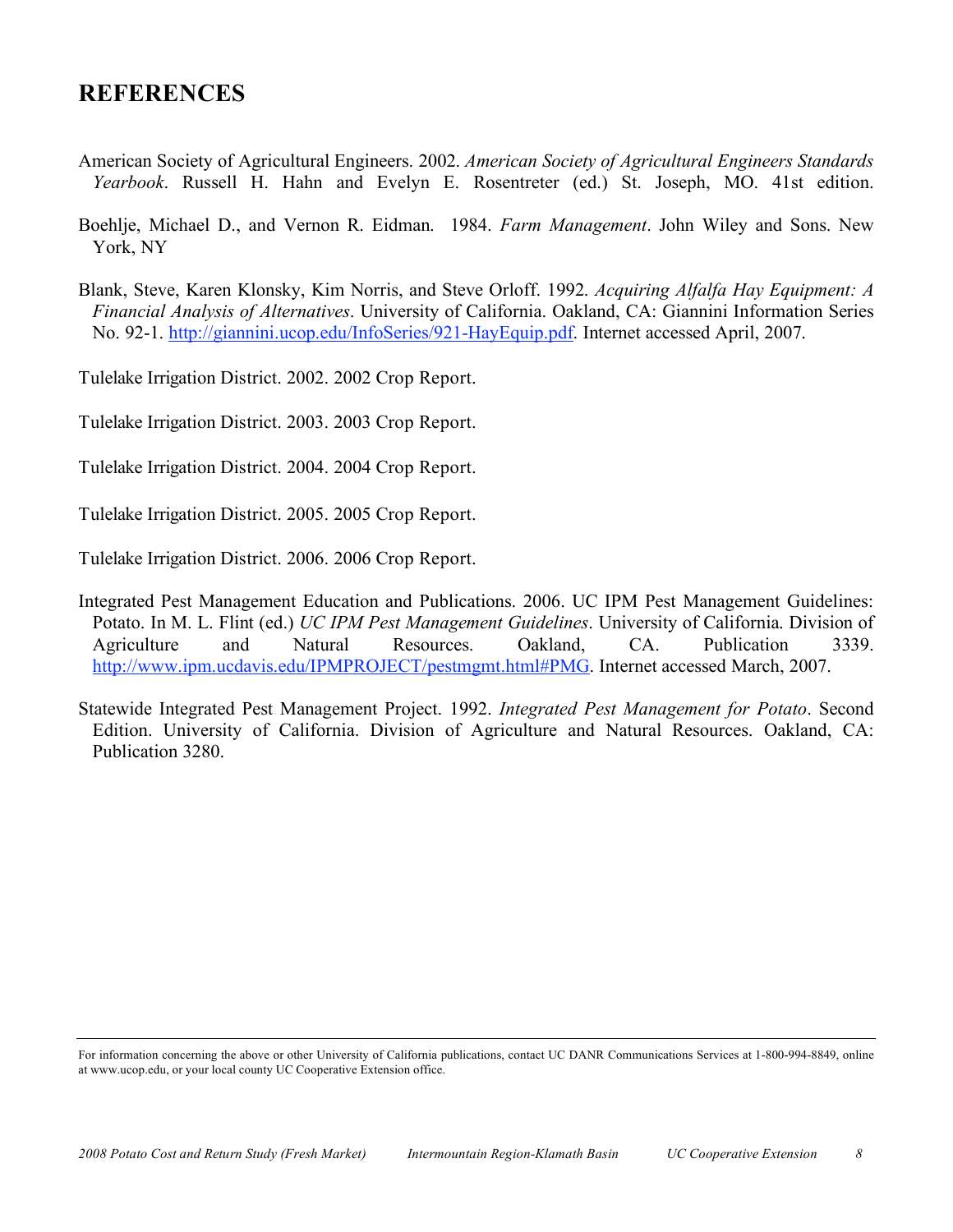## **REFERENCES**

- American Society of Agricultural Engineers. 2002. *American Society of Agricultural Engineers Standards Yearbook*. Russell H. Hahn and Evelyn E. Rosentreter (ed.) St. Joseph, MO. 41st edition.
- Boehlje, Michael D., and Vernon R. Eidman. 1984. *Farm Management*. John Wiley and Sons. New York, NY
- Blank, Steve, Karen Klonsky, Kim Norris, and Steve Orloff. 1992. *Acquiring Alfalfa Hay Equipment: A Financial Analysis of Alternatives*. University of California. Oakland, CA: Giannini Information Series No. 92-1. http://giannini.ucop.edu/InfoSeries/921-HayEquip.pdf. Internet accessed April, 2007.

Tulelake Irrigation District. 2002. 2002 Crop Report.

Tulelake Irrigation District. 2003. 2003 Crop Report.

Tulelake Irrigation District. 2004. 2004 Crop Report.

Tulelake Irrigation District. 2005. 2005 Crop Report.

Tulelake Irrigation District. 2006. 2006 Crop Report.

Integrated Pest Management Education and Publications. 2006. UC IPM Pest Management Guidelines: Potato. In M. L. Flint (ed.) *UC IPM Pest Management Guidelines*. University of California. Division of Agriculture and Natural Resources. Oakland, CA. Publication 3339. http://www.ipm.ucdavis.edu/IPMPROJECT/pestmgmt.html#PMG. Internet accessed March, 2007.

Statewide Integrated Pest Management Project. 1992. *Integrated Pest Management for Potato*. Second Edition. University of California. Division of Agriculture and Natural Resources. Oakland, CA: Publication 3280.

For information concerning the above or other University of California publications, contact UC DANR Communications Services at 1-800-994-8849, online at www.ucop.edu, or your local county UC Cooperative Extension office.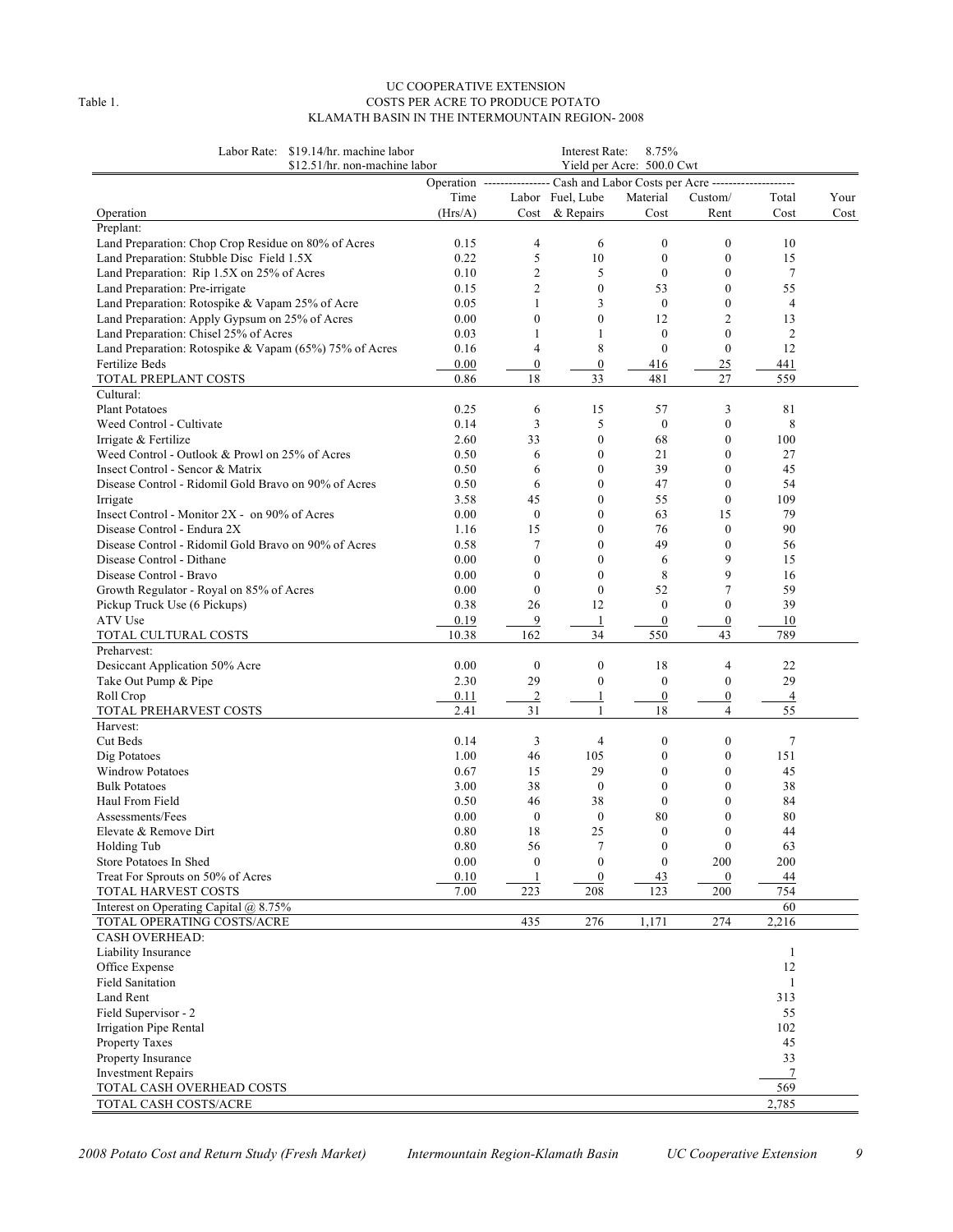#### UC COOPERATIVE EXTENSION Table 1. COSTS PER ACRE TO PRODUCE POTATO KLAMATH BASIN IN THE INTERMOUNTAIN REGION- 2008

| Labor Rate: \$19.14/hr. machine labor<br>\$12.51/hr. non-machine labor |                                                                                |                        | Interest Rate:             | 8.75%<br>Yield per Acre: 500.0 Cwt |                                  |                      |      |
|------------------------------------------------------------------------|--------------------------------------------------------------------------------|------------------------|----------------------------|------------------------------------|----------------------------------|----------------------|------|
|                                                                        | Operation ---------------- Cash and Labor Costs per Acre --------------------- |                        |                            |                                    |                                  |                      |      |
|                                                                        | Time                                                                           |                        | Labor Fuel, Lube           | Material                           | Custom/                          | Total                | Your |
| Operation                                                              | (Hrs/A)                                                                        | Cost                   | & Repairs                  | Cost                               | Rent                             | Cost                 | Cost |
| Preplant:                                                              |                                                                                |                        |                            |                                    |                                  |                      |      |
| Land Preparation: Chop Crop Residue on 80% of Acres                    | 0.15                                                                           | 4                      | 6                          | $\boldsymbol{0}$                   | $\boldsymbol{0}$                 | 10                   |      |
| Land Preparation: Stubble Disc Field 1.5X                              | 0.22                                                                           | 5                      | 10                         | $\boldsymbol{0}$                   | $\boldsymbol{0}$                 | 15                   |      |
| Land Preparation: Rip 1.5X on 25% of Acres                             | 0.10                                                                           | $\mathfrak{2}$         | 5                          | $\theta$                           | $\mathbf{0}$                     | 7                    |      |
| Land Preparation: Pre-irrigate                                         | 0.15                                                                           | $\mathfrak{2}$         | $\mathbf{0}$               | 53                                 | $\boldsymbol{0}$                 | 55                   |      |
| Land Preparation: Rotospike & Vapam 25% of Acre                        | 0.05                                                                           | 1                      | 3                          | $\boldsymbol{0}$                   | $\mathbf{0}$                     | $\overline{4}$       |      |
| Land Preparation: Apply Gypsum on 25% of Acres                         | 0.00                                                                           | $\boldsymbol{0}$       | $\mathbf{0}$               | 12                                 | $\overline{2}$                   | 13                   |      |
| Land Preparation: Chisel 25% of Acres                                  | 0.03                                                                           | 1                      | 1                          | $\boldsymbol{0}$                   | $\mathbf{0}$                     | 2                    |      |
| Land Preparation: Rotospike & Vapam (65%) 75% of Acres                 | 0.16                                                                           | 4                      | 8                          | $\mathbf{0}$                       | $\mathbf{0}$                     | 12                   |      |
| Fertilize Beds                                                         | 0.00                                                                           | $\boldsymbol{0}$       | $\mathbf{0}$               | 416                                | 25                               | 441                  |      |
| TOTAL PREPLANT COSTS                                                   | 0.86                                                                           | 18                     | 33                         | 481                                | 27                               | 559                  |      |
| Cultural:                                                              |                                                                                |                        |                            |                                    |                                  |                      |      |
| <b>Plant Potatoes</b>                                                  | 0.25                                                                           | 6                      | 15                         | 57                                 | 3                                | 81                   |      |
| Weed Control - Cultivate                                               | 0.14                                                                           | 3                      | 5                          | $\boldsymbol{0}$                   | $\boldsymbol{0}$                 | 8                    |      |
| Irrigate & Fertilize                                                   | 2.60                                                                           | 33                     | $\boldsymbol{0}$           | 68                                 | $\boldsymbol{0}$                 | 100                  |      |
| Weed Control - Outlook & Prowl on 25% of Acres                         | 0.50                                                                           | 6                      | $\mathbf{0}$               | 21                                 | $\mathbf{0}$                     | 27                   |      |
| Insect Control - Sencor & Matrix                                       | 0.50                                                                           | 6                      | $\mathbf{0}$               | 39                                 | $\boldsymbol{0}$                 | 45                   |      |
| Disease Control - Ridomil Gold Bravo on 90% of Acres                   | 0.50                                                                           | 6                      | $\mathbf{0}$               | 47                                 | $\mathbf{0}$                     | 54                   |      |
| Irrigate                                                               | 3.58                                                                           | 45                     | $\mathbf{0}$               | 55                                 | $\mathbf{0}$                     | 109                  |      |
| Insect Control - Monitor $2X - 0$ on 90% of Acres                      | 0.00                                                                           | $\boldsymbol{0}$       | $\mathbf{0}$               | 63                                 | 15                               | 79                   |      |
| Disease Control - Endura 2X                                            | 1.16                                                                           | 15                     | $\mathbf{0}$               | 76                                 | $\mathbf{0}$                     | 90                   |      |
| Disease Control - Ridomil Gold Bravo on 90% of Acres                   | 0.58                                                                           | 7                      | $\theta$                   | 49                                 | $\theta$                         | 56                   |      |
| Disease Control - Dithane                                              | 0.00                                                                           | $\boldsymbol{0}$       | $\mathbf{0}$               | 6                                  | 9                                | 15                   |      |
| Disease Control - Bravo                                                | 0.00                                                                           | $\mathbf{0}$           | $\theta$                   | 8                                  | 9                                | 16                   |      |
| Growth Regulator - Royal on 85% of Acres                               | 0.00                                                                           | $\mathbf{0}$           | $\mathbf{0}$               | 52                                 | $\tau$                           | 59                   |      |
| Pickup Truck Use (6 Pickups)                                           | 0.38                                                                           | 26                     | 12                         | $\theta$                           | $\mathbf{0}$                     | 39                   |      |
|                                                                        |                                                                                |                        |                            |                                    |                                  |                      |      |
| ATV Use<br>TOTAL CULTURAL COSTS                                        | 0.19<br>10.38                                                                  | 9<br>162               | 1<br>34                    | $\boldsymbol{0}$<br>550            | $\boldsymbol{0}$<br>43           | 10<br>789            |      |
| Preharvest:                                                            |                                                                                |                        |                            |                                    |                                  |                      |      |
| Desiccant Application 50% Acre                                         | 0.00                                                                           | 0                      | $\boldsymbol{0}$           | 18                                 | 4                                | 22                   |      |
|                                                                        | 2.30                                                                           | 29                     | $\mathbf{0}$               | $\boldsymbol{0}$                   | $\boldsymbol{0}$                 | 29                   |      |
| Take Out Pump & Pipe                                                   |                                                                                |                        | 1                          |                                    |                                  |                      |      |
| Roll Crop<br>TOTAL PREHARVEST COSTS                                    | 0.11<br>2.41                                                                   | $\overline{2}$<br>31   | 1                          | $\overline{0}$<br>18               | $\overline{0}$<br>$\overline{4}$ | $\overline{4}$<br>55 |      |
| Harvest:                                                               |                                                                                |                        |                            |                                    |                                  |                      |      |
| Cut Beds                                                               | 0.14                                                                           | 3                      | 4                          | $\boldsymbol{0}$                   | $\boldsymbol{0}$                 | 7                    |      |
|                                                                        |                                                                                |                        |                            |                                    |                                  |                      |      |
| Dig Potatoes<br><b>Windrow Potatoes</b>                                | 1.00<br>0.67                                                                   | 46<br>15               | 105<br>29                  | $\boldsymbol{0}$<br>$\mathbf{0}$   | $\boldsymbol{0}$<br>$\mathbf{0}$ | 151<br>45            |      |
| <b>Bulk Potatoes</b>                                                   | 3.00                                                                           | 38                     | $\boldsymbol{0}$           | $\mathbf{0}$                       | $\mathbf{0}$                     | 38                   |      |
|                                                                        | 0.50                                                                           |                        | 38                         | $\mathbf{0}$                       | $\mathbf{0}$                     | 84                   |      |
| Haul From Field                                                        |                                                                                | 46                     | $\mathbf{0}$               |                                    |                                  |                      |      |
| Assessments/Fees                                                       | 0.00                                                                           | $\boldsymbol{0}$       |                            | 80<br>$\Omega$                     | $\mathbf{0}$<br>$\theta$         | 80                   |      |
| Elevate & Remove Dirt                                                  | 0.80                                                                           | 18                     | 25                         |                                    |                                  | 44                   |      |
| Holding Tub<br>Store Potatoes In Shed                                  | 0.80<br>0.00                                                                   | 56<br>$\boldsymbol{0}$ | $\tau$<br>$\boldsymbol{0}$ | $\boldsymbol{0}$<br>$\theta$       | $\boldsymbol{0}$<br>200          | 63<br>200            |      |
|                                                                        |                                                                                |                        |                            |                                    |                                  |                      |      |
| Treat For Sprouts on 50% of Acres                                      | 0.10                                                                           |                        | $\boldsymbol{0}$           | 43                                 | $\boldsymbol{0}$                 | 44                   |      |
| TOTAL HARVEST COSTS                                                    | 7.00                                                                           | 223                    | 208                        | 123                                | 200                              | 754                  |      |
| Interest on Operating Capital @ 8.75%                                  |                                                                                |                        |                            |                                    |                                  | 60                   |      |
| TOTAL OPERATING COSTS/ACRE                                             |                                                                                | 435                    | 276                        | 1,171                              | 274                              | 2,216                |      |
| CASH OVERHEAD:                                                         |                                                                                |                        |                            |                                    |                                  |                      |      |
| Liability Insurance                                                    |                                                                                |                        |                            |                                    |                                  | $\mathbf{1}$         |      |
| Office Expense                                                         |                                                                                |                        |                            |                                    |                                  | 12                   |      |
| <b>Field Sanitation</b>                                                |                                                                                |                        |                            |                                    |                                  | 1                    |      |
| Land Rent                                                              |                                                                                |                        |                            |                                    |                                  | 313                  |      |
| Field Supervisor - 2                                                   |                                                                                |                        |                            |                                    |                                  | 55                   |      |
| Irrigation Pipe Rental                                                 |                                                                                |                        |                            |                                    |                                  | 102                  |      |
| Property Taxes                                                         |                                                                                |                        |                            |                                    |                                  | 45                   |      |
| Property Insurance                                                     |                                                                                |                        |                            |                                    |                                  | 33                   |      |
| <b>Investment Repairs</b>                                              |                                                                                |                        |                            |                                    |                                  | $\tau$               |      |
| TOTAL CASH OVERHEAD COSTS                                              |                                                                                |                        |                            |                                    |                                  | 569                  |      |
| TOTAL CASH COSTS/ACRE                                                  |                                                                                |                        |                            |                                    |                                  | 2,785                |      |

*2008 Potato Cost and Return Study (Fresh Market) Intermountain Region-Klamath Basin UC Cooperative Extension 9*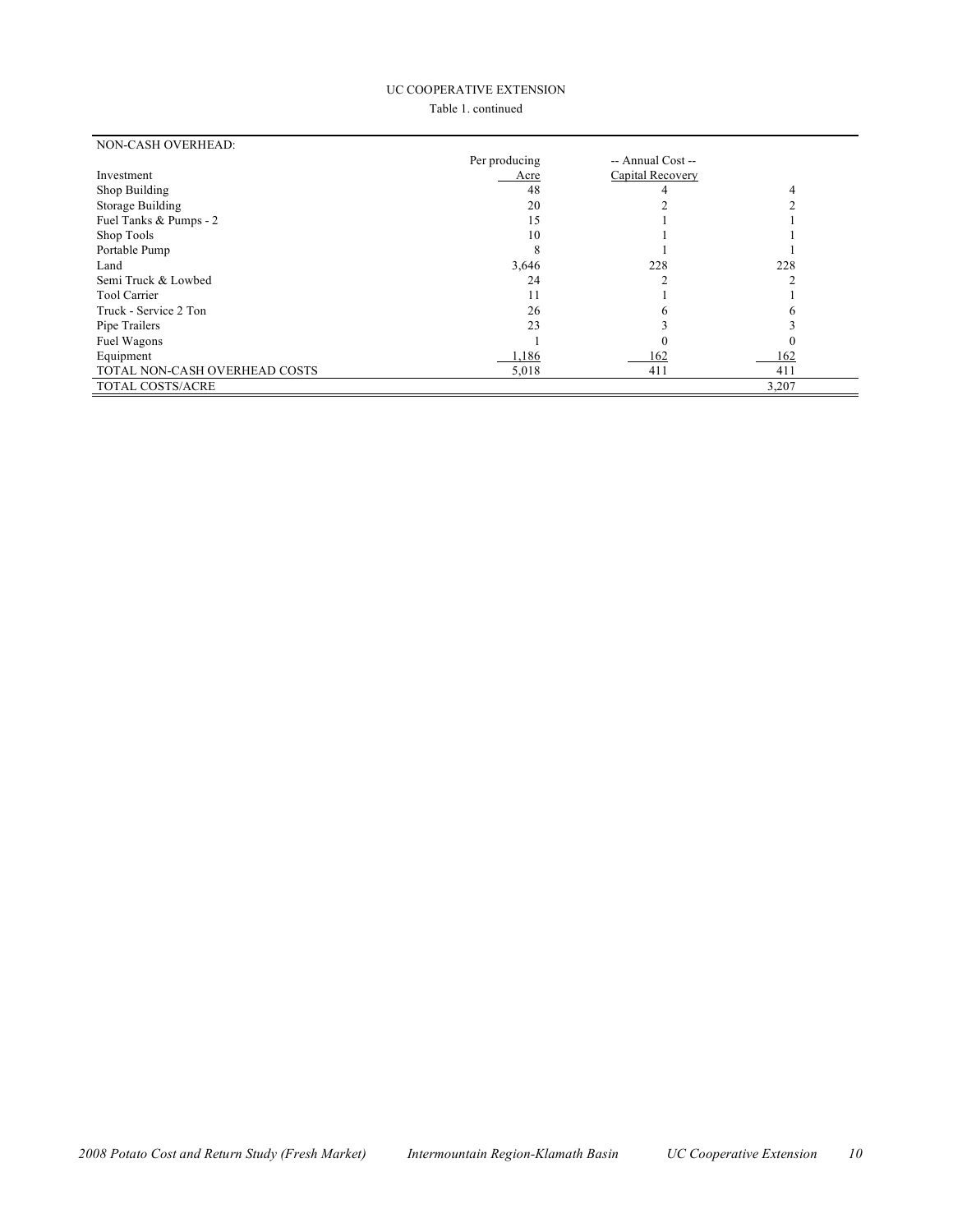#### UC COOPERATIVE EXTENSION

Table 1. continued

| NON-CASH OVERHEAD:            |               |                   |       |
|-------------------------------|---------------|-------------------|-------|
|                               | Per producing | -- Annual Cost -- |       |
| Investment                    | Acre          | Capital Recovery  |       |
| Shop Building                 | 48            |                   |       |
| Storage Building              | 20            |                   |       |
| Fuel Tanks & Pumps - 2        | 15            |                   |       |
| Shop Tools                    | 10            |                   |       |
| Portable Pump                 |               |                   |       |
| Land                          | 3,646         | 228               | 228   |
| Semi Truck & Lowbed           | 24            |                   |       |
| <b>Tool Carrier</b>           |               |                   |       |
| Truck - Service 2 Ton         | 26            |                   |       |
| Pipe Trailers                 | 23            |                   |       |
| Fuel Wagons                   |               |                   |       |
| Equipment                     | 1,186         | 162               | 162   |
| TOTAL NON-CASH OVERHEAD COSTS | 5,018         | 411               | 411   |
| TOTAL COSTS/ACRE              |               |                   | 3,207 |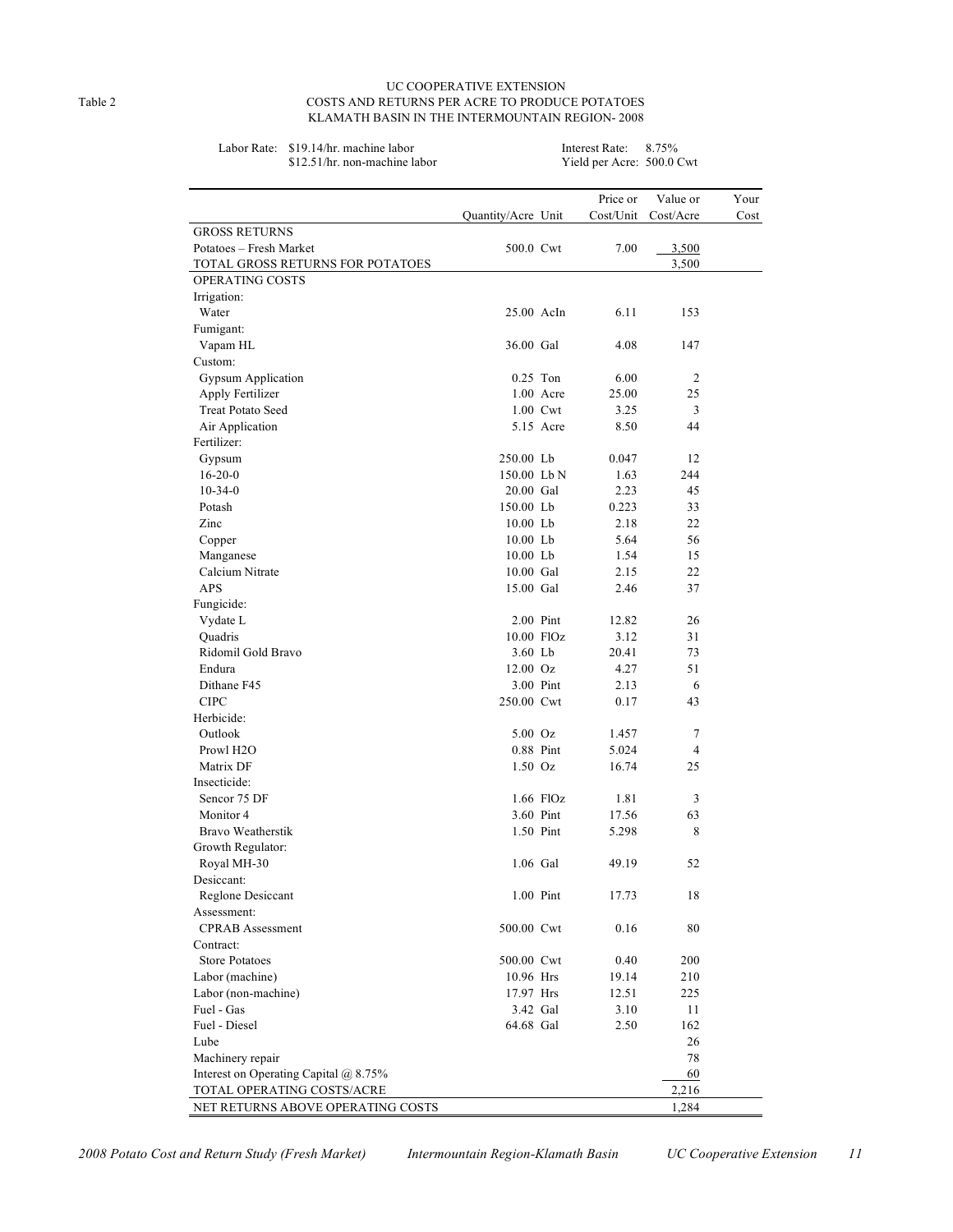#### UC COOPERATIVE EXTENSION Table 2 COSTS AND RETURNS PER ACRE TO PRODUCE POTATOES KLAMATH BASIN IN THE INTERMOUNTAIN REGION- 2008

| Labor Rate:<br>\$19.14/hr. machine labor |                             |             | Interest Rate:            | 8.75%          |      |
|------------------------------------------|-----------------------------|-------------|---------------------------|----------------|------|
| \$12.51/hr. non-machine labor            |                             |             | Yield per Acre: 500.0 Cwt |                |      |
|                                          |                             |             | Price or                  | Value or       | Your |
|                                          | Quantity/Acre Unit          |             | Cost/Unit                 | Cost/Acre      | Cost |
| <b>GROSS RETURNS</b>                     |                             |             |                           |                |      |
| Potatoes - Fresh Market                  | 500.0 Cwt                   |             | 7.00                      | 3,500          |      |
| TOTAL GROSS RETURNS FOR POTATOES         |                             |             |                           | 3,500          |      |
| OPERATING COSTS                          |                             |             |                           |                |      |
| Irrigation:                              |                             |             |                           |                |      |
| Water                                    | 25.00 AcIn                  |             | 6.11                      | 153            |      |
| Fumigant:                                |                             |             |                           |                |      |
| Vapam HL<br>Custom:                      | 36.00 Gal                   |             | 4.08                      | 147            |      |
| <b>Gypsum Application</b>                |                             | $0.25$ Ton  | 6.00                      | $\overline{2}$ |      |
| Apply Fertilizer                         |                             | $1.00$ Acre | 25.00                     | 25             |      |
| <b>Treat Potato Seed</b>                 |                             | 1.00 Cwt    | 3.25                      | 3              |      |
| Air Application                          |                             | 5.15 Acre   | 8.50                      | 44             |      |
| Fertilizer:                              |                             |             |                           |                |      |
| Gypsum                                   | 250.00 Lb                   |             | 0.047                     | 12             |      |
| $16-20-0$                                | 150.00 Lb N                 |             | 1.63                      | 244            |      |
| $10-34-0$                                | 20.00 Gal                   |             | 2.23                      | 45             |      |
| Potash                                   | 150.00 Lb                   |             | 0.223                     | 33             |      |
| Zinc                                     | $10.00$ Lb                  |             | 2.18                      | 22             |      |
| Copper                                   | $10.00$ Lb                  |             | 5.64                      | 56             |      |
| Manganese                                | 10.00 Lb                    |             | 1.54                      | 15             |      |
| Calcium Nitrate                          | 10.00 Gal                   |             | 2.15                      | 22             |      |
| APS                                      | 15.00 Gal                   |             | 2.46                      | 37             |      |
| Fungicide:                               |                             |             |                           | 26             |      |
| Vydate L<br>Quadris                      | $2.00$ Pint<br>$10.00$ FlOz |             | 12.82<br>3.12             | 31             |      |
| Ridomil Gold Bravo                       | $3.60$ Lb                   |             | 20.41                     | 73             |      |
| Endura                                   | $12.00 \text{ Oz}$          |             | 4.27                      | 51             |      |
| Dithane F45                              |                             | 3.00 Pint   | 2.13                      | 6              |      |
| <b>CIPC</b>                              | 250.00 Cwt                  |             | 0.17                      | 43             |      |
| Herbicide:                               |                             |             |                           |                |      |
| Outlook                                  | $5.00\text{ Oz}$            |             | 1.457                     | 7              |      |
| Prowl H <sub>2</sub> O                   |                             | 0.88 Pint   | 5.024                     | $\overline{4}$ |      |
| Matrix DF                                | $1.50$ Oz                   |             | 16.74                     | 25             |      |
| Insecticide:                             |                             |             |                           |                |      |
| Sencor 75 DF                             |                             | $1.66$ FlOz | 1.81                      | 3              |      |
| Monitor 4                                |                             | 3.60 Pint   | 17.56                     | 63             |      |
| Bravo Weatherstik                        |                             | 1.50 Pint   | 5.298                     | 8              |      |
| Growth Regulator:                        | 1.06 Gal                    |             |                           |                |      |
| Royal MH-30<br>Desiccant:                |                             |             | 49.19                     | 52             |      |
| Reglone Desiccant                        |                             | 1.00 Pint   | 17.73                     | 18             |      |
| Assessment:                              |                             |             |                           |                |      |
| <b>CPRAB</b> Assessment                  | 500.00 Cwt                  |             | 0.16                      | 80             |      |
| Contract:                                |                             |             |                           |                |      |
| <b>Store Potatoes</b>                    | 500.00 Cwt                  |             | 0.40                      | 200            |      |
| Labor (machine)                          | 10.96 Hrs                   |             | 19.14                     | 210            |      |
| Labor (non-machine)                      | 17.97 Hrs                   |             | 12.51                     | 225            |      |
| Fuel - Gas                               |                             | 3.42 Gal    | 3.10                      | 11             |      |
| Fuel - Diesel                            | 64.68 Gal                   |             | 2.50                      | 162            |      |
| Lube                                     |                             |             |                           | 26             |      |
| Machinery repair                         |                             |             |                           | 78             |      |
| Interest on Operating Capital @ 8.75%    |                             |             |                           | 60             |      |
| TOTAL OPERATING COSTS/ACRE               |                             |             |                           | 2,216          |      |
| NET RETURNS ABOVE OPERATING COSTS        |                             |             |                           | 1,284          |      |

*2008 Potato Cost and Return Study (Fresh Market) Intermountain Region-Klamath Basin UC Cooperative Extension 11*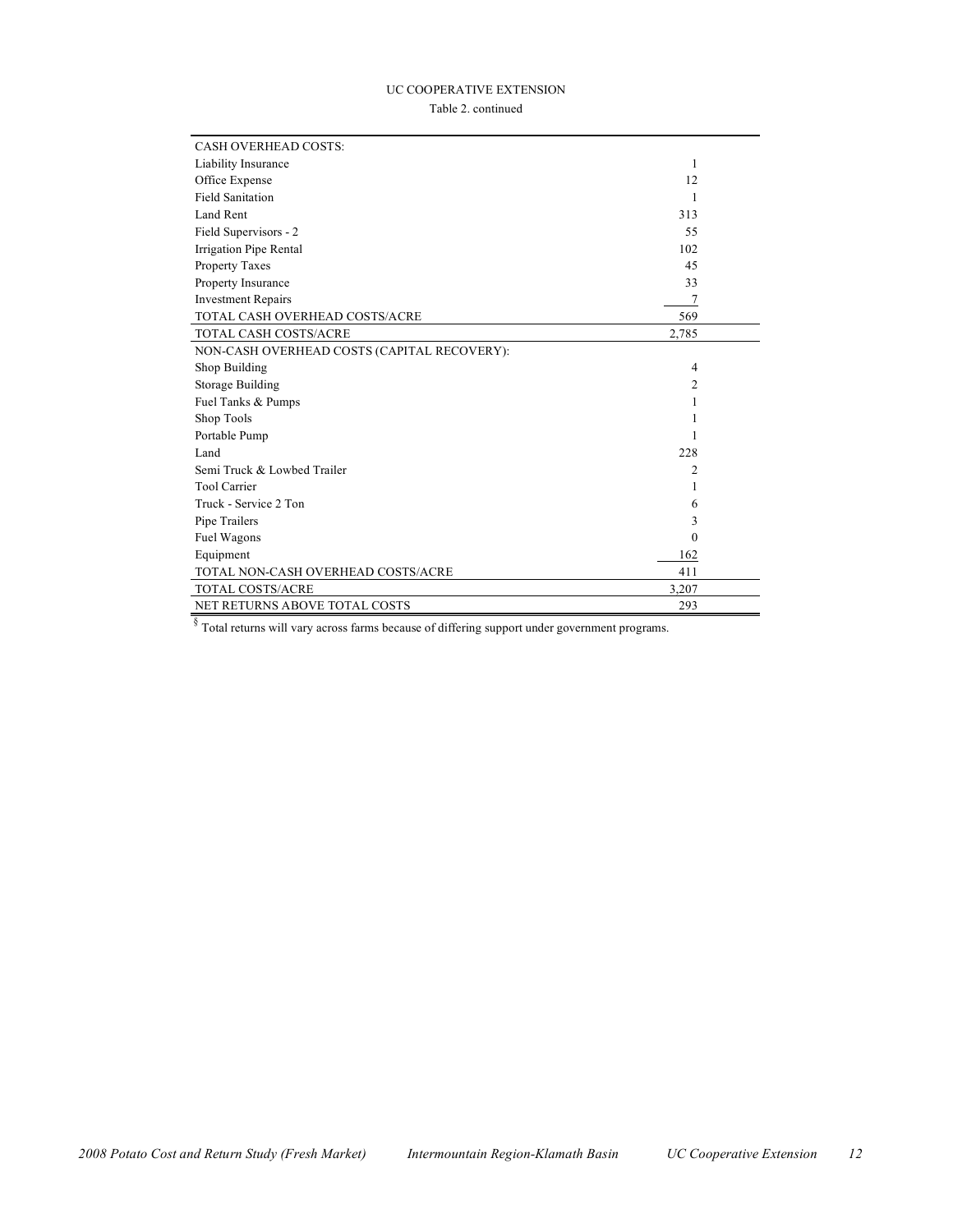#### UC COOPERATIVE EXTENSION

Table 2. continued

| <b>CASH OVERHEAD COSTS:</b>                 |          |  |
|---------------------------------------------|----------|--|
| Liability Insurance                         | 1        |  |
| Office Expense                              | 12       |  |
| <b>Field Sanitation</b>                     | 1        |  |
| Land Rent                                   | 313      |  |
| Field Supervisors - 2                       | 55       |  |
| Irrigation Pipe Rental                      | 102      |  |
| <b>Property Taxes</b>                       | 45       |  |
| Property Insurance                          | 33       |  |
| <b>Investment Repairs</b>                   | 7        |  |
| TOTAL CASH OVERHEAD COSTS/ACRE              | 569      |  |
| <b>TOTAL CASH COSTS/ACRE</b>                | 2,785    |  |
| NON-CASH OVERHEAD COSTS (CAPITAL RECOVERY): |          |  |
| Shop Building                               | 4        |  |
| Storage Building                            | 2        |  |
| Fuel Tanks & Pumps                          | 1        |  |
| Shop Tools                                  | 1        |  |
| Portable Pump                               | 1        |  |
| Land                                        | 228      |  |
| Semi Truck & Lowbed Trailer                 | 2        |  |
| <b>Tool Carrier</b>                         |          |  |
| Truck - Service 2 Ton                       | 6        |  |
| Pipe Trailers                               | 3        |  |
| Fuel Wagons                                 | $\Omega$ |  |
| Equipment                                   | 162      |  |
| TOTAL NON-CASH OVERHEAD COSTS/ACRE          | 411      |  |
| TOTAL COSTS/ACRE                            | 3,207    |  |
| NET RETURNS ABOVE TOTAL COSTS               | 293      |  |

§ Total returns will vary across farms because of differing support under government programs.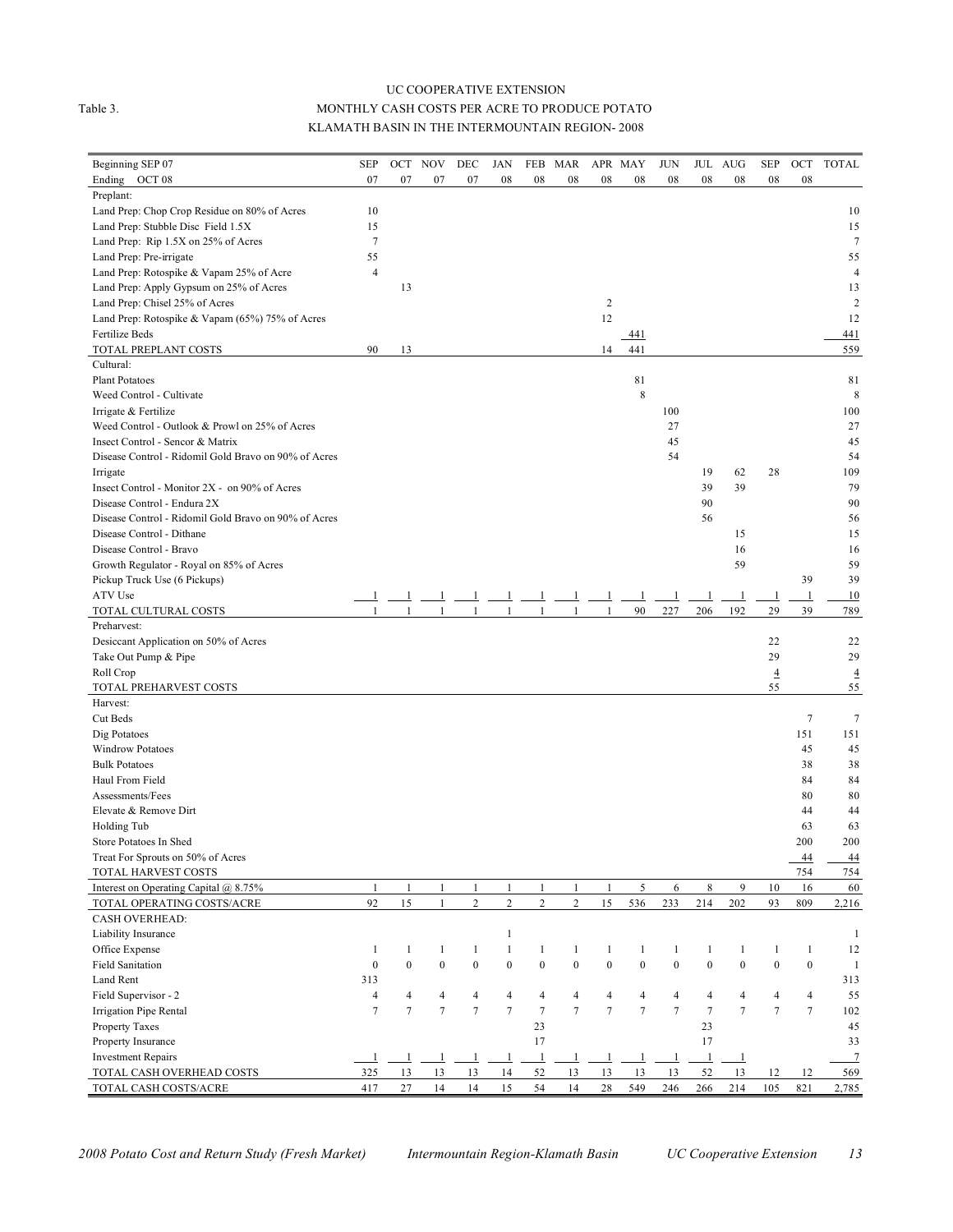#### UC COOPERATIVE EXTENSION Table 3. MONTHLY CASH COSTS PER ACRE TO PRODUCE POTATO KLAMATH BASIN IN THE INTERMOUNTAIN REGION- 2008

| Beginning SEP 07                                     | <b>SEP</b>               | OCT              | <b>NOV</b>       | DEC            | JAN              | FEB              | MAR              |                  | APR MAY        | <b>JUN</b>       |                  | JUL AUG        | SEP              | OCT              | <b>TOTAL</b>    |
|------------------------------------------------------|--------------------------|------------------|------------------|----------------|------------------|------------------|------------------|------------------|----------------|------------------|------------------|----------------|------------------|------------------|-----------------|
| Ending OCT 08                                        | 07                       | 07               | 07               | 07             | 08               | 08               | 08               | 08               | 08             | 08               | 08               | 08             | 08               | 08               |                 |
| Preplant:                                            |                          |                  |                  |                |                  |                  |                  |                  |                |                  |                  |                |                  |                  |                 |
| Land Prep: Chop Crop Residue on 80% of Acres         | 10                       |                  |                  |                |                  |                  |                  |                  |                |                  |                  |                |                  |                  | 10              |
| Land Prep: Stubble Disc Field 1.5X                   | 15                       |                  |                  |                |                  |                  |                  |                  |                |                  |                  |                |                  |                  | 15              |
| Land Prep: Rip 1.5X on 25% of Acres                  | $\overline{7}$           |                  |                  |                |                  |                  |                  |                  |                |                  |                  |                |                  |                  | 7               |
| Land Prep: Pre-irrigate                              | 55                       |                  |                  |                |                  |                  |                  |                  |                |                  |                  |                |                  |                  | 55              |
| Land Prep: Rotospike & Vapam 25% of Acre             | $\overline{4}$           |                  |                  |                |                  |                  |                  |                  |                |                  |                  |                |                  |                  | $\overline{4}$  |
| Land Prep: Apply Gypsum on 25% of Acres              |                          | 13               |                  |                |                  |                  |                  |                  |                |                  |                  |                |                  |                  | 13              |
| Land Prep: Chisel 25% of Acres                       |                          |                  |                  |                |                  |                  |                  | 2                |                |                  |                  |                |                  |                  | 2               |
| Land Prep: Rotospike & Vapam (65%) 75% of Acres      |                          |                  |                  |                |                  |                  |                  | 12               |                |                  |                  |                |                  |                  | 12              |
| Fertilize Beds                                       |                          |                  |                  |                |                  |                  |                  |                  | 441            |                  |                  |                |                  |                  | 441             |
| TOTAL PREPLANT COSTS                                 | 90                       | 13               |                  |                |                  |                  |                  | 14               | 441            |                  |                  |                |                  |                  | 559             |
| Cultural:                                            |                          |                  |                  |                |                  |                  |                  |                  |                |                  |                  |                |                  |                  |                 |
| <b>Plant Potatoes</b>                                |                          |                  |                  |                |                  |                  |                  |                  | 81             |                  |                  |                |                  |                  | 81              |
| Weed Control - Cultivate                             |                          |                  |                  |                |                  |                  |                  |                  | 8              |                  |                  |                |                  |                  | 8               |
| Irrigate & Fertilize                                 |                          |                  |                  |                |                  |                  |                  |                  |                | 100              |                  |                |                  |                  | 100             |
| Weed Control - Outlook & Prowl on 25% of Acres       |                          |                  |                  |                |                  |                  |                  |                  |                | 27               |                  |                |                  |                  | 27              |
| Insect Control - Sencor & Matrix                     |                          |                  |                  |                |                  |                  |                  |                  |                | 45               |                  |                |                  |                  | 45              |
| Disease Control - Ridomil Gold Bravo on 90% of Acres |                          |                  |                  |                |                  |                  |                  |                  |                | 54               |                  |                |                  |                  | 54              |
| Irrigate                                             |                          |                  |                  |                |                  |                  |                  |                  |                |                  | 19               | 62             | 28               |                  | 109             |
| Insect Control - Monitor 2X - on 90% of Acres        |                          |                  |                  |                |                  |                  |                  |                  |                |                  | 39               | 39             |                  |                  | 79              |
| Disease Control - Endura 2X                          |                          |                  |                  |                |                  |                  |                  |                  |                |                  | 90               |                |                  |                  | 90              |
| Disease Control - Ridomil Gold Bravo on 90% of Acres |                          |                  |                  |                |                  |                  |                  |                  |                |                  | 56               |                |                  |                  | 56              |
| Disease Control - Dithane                            |                          |                  |                  |                |                  |                  |                  |                  |                |                  |                  | 15             |                  |                  | 15              |
| Disease Control - Bravo                              |                          |                  |                  |                |                  |                  |                  |                  |                |                  |                  | 16             |                  |                  | 16              |
| Growth Regulator - Royal on 85% of Acres             |                          |                  |                  |                |                  |                  |                  |                  |                |                  |                  | 59             |                  |                  | 59              |
| Pickup Truck Use (6 Pickups)                         |                          |                  |                  |                |                  |                  |                  |                  |                |                  |                  |                |                  | 39               | 39              |
| ATV Use                                              |                          |                  | -1               | -1             | -1               |                  |                  |                  | -1             | -1               | -1               | $\mathbf{1}$   | $\mathbf{1}$     | $\mathbf{1}$     | 10              |
| TOTAL CULTURAL COSTS                                 |                          |                  |                  |                | $\mathbf{1}$     |                  |                  |                  | 90             | 227              | 206              | 192            | 29               | 39               | 789             |
| Preharvest:                                          |                          |                  |                  |                |                  |                  |                  |                  |                |                  |                  |                |                  |                  |                 |
| Desiccant Application on 50% of Acres                |                          |                  |                  |                |                  |                  |                  |                  |                |                  |                  |                | 22               |                  | 22              |
| Take Out Pump & Pipe                                 |                          |                  |                  |                |                  |                  |                  |                  |                |                  |                  |                | 29               |                  | 29              |
| Roll Crop                                            |                          |                  |                  |                |                  |                  |                  |                  |                |                  |                  |                | $\overline{4}$   |                  | $\overline{4}$  |
| TOTAL PREHARVEST COSTS                               |                          |                  |                  |                |                  |                  |                  |                  |                |                  |                  |                | 55               |                  | 55              |
| Harvest:                                             |                          |                  |                  |                |                  |                  |                  |                  |                |                  |                  |                |                  |                  |                 |
| Cut Beds                                             |                          |                  |                  |                |                  |                  |                  |                  |                |                  |                  |                |                  | $\tau$           | $\tau$          |
| Dig Potatoes                                         |                          |                  |                  |                |                  |                  |                  |                  |                |                  |                  |                |                  | 151              | 151             |
| <b>Windrow Potatoes</b>                              |                          |                  |                  |                |                  |                  |                  |                  |                |                  |                  |                |                  | 45               | 45              |
| <b>Bulk Potatoes</b>                                 |                          |                  |                  |                |                  |                  |                  |                  |                |                  |                  |                |                  | 38               | 38              |
| Haul From Field                                      |                          |                  |                  |                |                  |                  |                  |                  |                |                  |                  |                |                  | 84               | 84              |
| Assessments/Fees                                     |                          |                  |                  |                |                  |                  |                  |                  |                |                  |                  |                |                  | 80               | 80              |
| Elevate & Remove Dirt                                |                          |                  |                  |                |                  |                  |                  |                  |                |                  |                  |                |                  | 44               | 44              |
| Holding Tub                                          |                          |                  |                  |                |                  |                  |                  |                  |                |                  |                  |                |                  | 63               | 63              |
| Store Potatoes In Shed                               |                          |                  |                  |                |                  |                  |                  |                  |                |                  |                  |                |                  | 200              | 200             |
| Treat For Sprouts on 50% of Acres                    |                          |                  |                  |                |                  |                  |                  |                  |                |                  |                  |                |                  | 44               | $\overline{44}$ |
| TOTAL HARVEST COSTS                                  |                          |                  |                  |                |                  |                  |                  |                  |                |                  |                  |                |                  | 754              | 754             |
| Interest on Operating Capital @ 8.75%                | $\mathbf{1}$             | $\mathbf{1}$     | $\mathbf{1}$     | $\mathbf{1}$   | $\mathbf{1}$     | $\mathbf{1}$     | $\mathbf{1}$     | $\mathbf{1}$     | 5              | 6                | 8                | 9              | 10               | 16               | 60              |
| TOTAL OPERATING COSTS/ACRE                           | 92                       | 15               | $\mathbf{1}$     | $\overline{c}$ | $\sqrt{2}$       | $\overline{c}$   | $\overline{c}$   | 15               | 536            | 233              | 214              | 202            | 93               | 809              | 2,216           |
| <b>CASH OVERHEAD:</b>                                |                          |                  |                  |                |                  |                  |                  |                  |                |                  |                  |                |                  |                  |                 |
| Liability Insurance                                  |                          |                  |                  |                | $\mathbf{1}$     |                  |                  |                  |                |                  |                  |                |                  |                  | $\mathbf{1}$    |
| Office Expense                                       | 1                        | $\mathbf{1}$     | $\mathbf{1}$     | $\mathbf{1}$   | $\mathbf{1}$     | $\mathbf{1}$     | 1                | 1                | $\mathbf{1}$   | $\mathbf{1}$     | $\mathbf{1}$     | 1              | $\mathbf{1}$     | $\mathbf{1}$     | 12              |
| <b>Field Sanitation</b>                              | $\boldsymbol{0}$         | $\boldsymbol{0}$ | $\boldsymbol{0}$ | $\mathbf{0}$   | $\boldsymbol{0}$ | $\boldsymbol{0}$ | $\boldsymbol{0}$ | $\boldsymbol{0}$ | $\overline{0}$ | $\boldsymbol{0}$ | $\boldsymbol{0}$ | $\mathbf{0}$   | $\boldsymbol{0}$ | $\boldsymbol{0}$ | $\mathbf{1}$    |
| Land Rent                                            | 313                      |                  |                  |                |                  |                  |                  |                  |                |                  |                  |                |                  |                  | 313             |
| Field Supervisor - 2                                 | $\overline{4}$           | 4                | 4                | 4              | $\overline{4}$   | 4                | 4                | 4                | 4              | $\overline{4}$   | 4                | 4              | $\overline{4}$   | 4                | 55              |
| Irrigation Pipe Rental                               | $\overline{\mathcal{I}}$ | $\overline{7}$   | $\overline{7}$   | $\overline{7}$ | $\boldsymbol{7}$ | $\tau$           | $\overline{7}$   | $\overline{7}$   | $\overline{7}$ | $\overline{7}$   | $\overline{7}$   | $\overline{7}$ | $\boldsymbol{7}$ | $\tau$           | 102             |
| Property Taxes                                       |                          |                  |                  |                |                  | 23               |                  |                  |                |                  | 23               |                |                  |                  | 45              |
| Property Insurance                                   |                          |                  |                  |                |                  | 17               |                  |                  |                |                  | 17               |                |                  |                  | 33              |
| <b>Investment Repairs</b>                            | 1                        | -1               | -1               | -1             | $\perp$          | $\mathbf{1}$     | $\mathbf{1}$     | 1                | -1             | $\mathbf{1}$     | -1               | $\perp$        |                  |                  | $\overline{7}$  |
| TOTAL CASH OVERHEAD COSTS                            | 325                      | 13               | 13               | 13             | 14               | 52               | 13               | 13               | 13             | 13               | 52               | 13             | 12               | 12               | 569             |
| TOTAL CASH COSTS/ACRE                                | 417                      | 27               | 14               | 14             | 15               | 54               | 14               | 28               | 549            | 246              | 266              | 214            | 105              | 821              | 2,785           |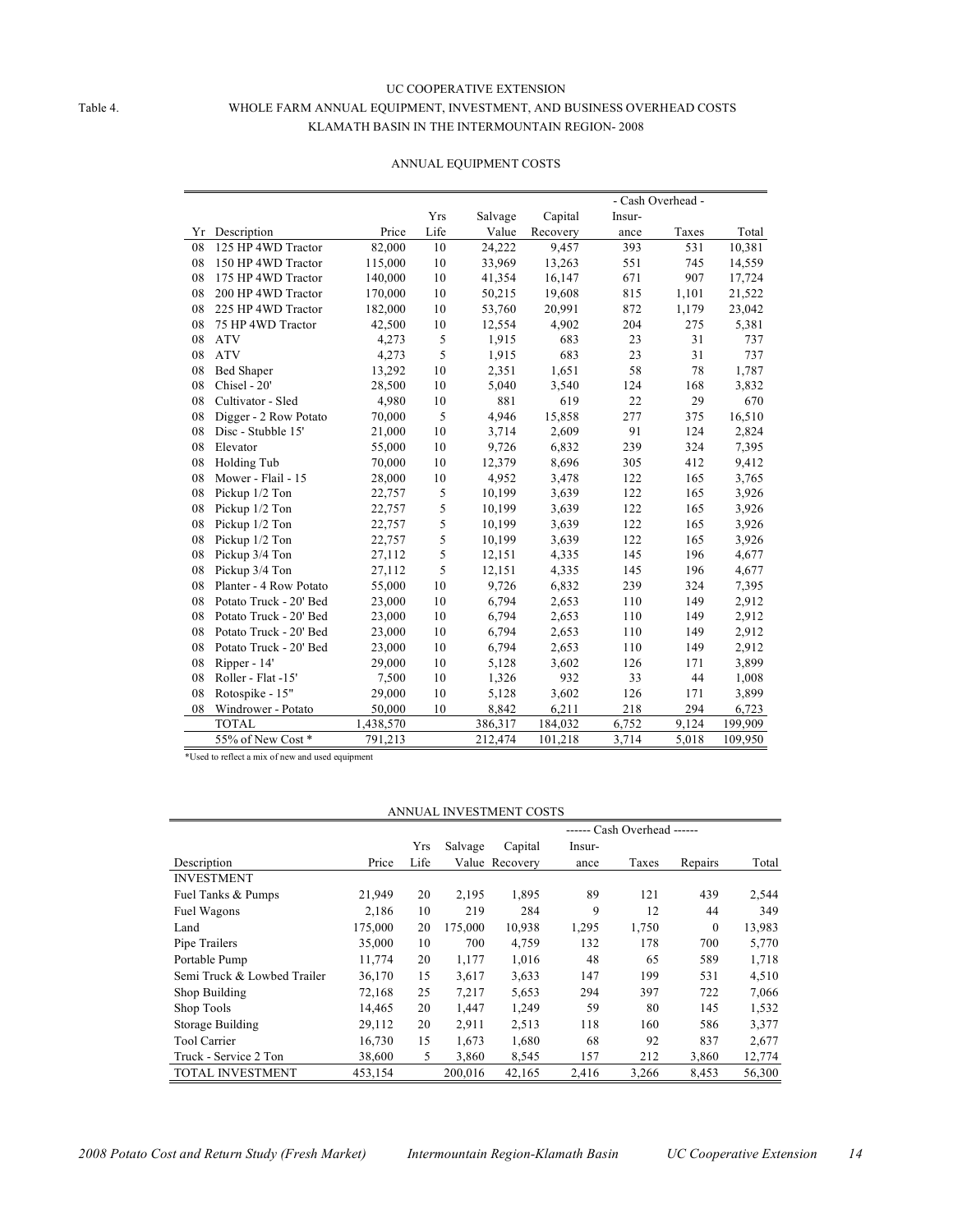#### UC COOPERATIVE EXTENSION Table 4. WHOLE FARM ANNUAL EQUIPMENT, INVESTMENT, AND BUSINESS OVERHEAD COSTS KLAMATH BASIN IN THE INTERMOUNTAIN REGION- 2008

|    |                        |           |      |         |          |        | - Cash Overhead - |         |
|----|------------------------|-----------|------|---------|----------|--------|-------------------|---------|
|    |                        |           | Yrs  | Salvage | Capital  | Insur- |                   |         |
| Υr | Description            | Price     | Life | Value   | Recovery | ance   | Taxes             | Total   |
| 08 | 125 HP 4WD Tractor     | 82,000    | 10   | 24,222  | 9,457    | 393    | 531               | 10,381  |
| 08 | 150 HP 4WD Tractor     | 115,000   | 10   | 33,969  | 13,263   | 551    | 745               | 14,559  |
| 08 | 175 HP 4WD Tractor     | 140,000   | 10   | 41,354  | 16,147   | 671    | 907               | 17,724  |
| 08 | 200 HP 4WD Tractor     | 170,000   | 10   | 50,215  | 19,608   | 815    | 1,101             | 21,522  |
| 08 | 225 HP 4WD Tractor     | 182,000   | 10   | 53,760  | 20,991   | 872    | 1,179             | 23,042  |
| 08 | 75 HP 4WD Tractor      | 42,500    | 10   | 12,554  | 4,902    | 204    | 275               | 5,381   |
| 08 | <b>ATV</b>             | 4,273     | 5    | 1,915   | 683      | 23     | 31                | 737     |
| 08 | <b>ATV</b>             | 4,273     | 5    | 1,915   | 683      | 23     | 31                | 737     |
| 08 | <b>Bed Shaper</b>      | 13,292    | 10   | 2,351   | 1,651    | 58     | 78                | 1,787   |
| 08 | Chisel - 20'           | 28,500    | 10   | 5,040   | 3,540    | 124    | 168               | 3,832   |
| 08 | Cultivator - Sled      | 4,980     | 10   | 881     | 619      | 22     | 29                | 670     |
| 08 | Digger - 2 Row Potato  | 70,000    | 5    | 4,946   | 15,858   | 277    | 375               | 16,510  |
| 08 | Disc - Stubble 15'     | 21,000    | 10   | 3,714   | 2,609    | 91     | 124               | 2,824   |
| 08 | Elevator               | 55,000    | 10   | 9,726   | 6,832    | 239    | 324               | 7,395   |
| 08 | Holding Tub            | 70,000    | 10   | 12,379  | 8,696    | 305    | 412               | 9,412   |
| 08 | Mower - Flail - 15     | 28,000    | 10   | 4,952   | 3,478    | 122    | 165               | 3,765   |
| 08 | Pickup 1/2 Ton         | 22,757    | 5    | 10,199  | 3,639    | 122    | 165               | 3,926   |
| 08 | Pickup 1/2 Ton         | 22,757    | 5    | 10,199  | 3,639    | 122    | 165               | 3,926   |
| 08 | Pickup 1/2 Ton         | 22,757    | 5    | 10,199  | 3.639    | 122    | 165               | 3,926   |
| 08 | Pickup 1/2 Ton         | 22,757    | 5    | 10,199  | 3.639    | 122    | 165               | 3,926   |
| 08 | Pickup 3/4 Ton         | 27,112    | 5    | 12,151  | 4,335    | 145    | 196               | 4,677   |
| 08 | Pickup 3/4 Ton         | 27,112    | 5    | 12,151  | 4,335    | 145    | 196               | 4,677   |
| 08 | Planter - 4 Row Potato | 55,000    | 10   | 9,726   | 6,832    | 239    | 324               | 7,395   |
| 08 | Potato Truck - 20' Bed | 23,000    | 10   | 6,794   | 2,653    | 110    | 149               | 2,912   |
| 08 | Potato Truck - 20' Bed | 23,000    | 10   | 6,794   | 2,653    | 110    | 149               | 2,912   |
| 08 | Potato Truck - 20' Bed | 23,000    | 10   | 6,794   | 2,653    | 110    | 149               | 2,912   |
| 08 | Potato Truck - 20' Bed | 23,000    | 10   | 6,794   | 2,653    | 110    | 149               | 2,912   |
| 08 | Ripper - 14'           | 29,000    | 10   | 5,128   | 3,602    | 126    | 171               | 3,899   |
| 08 | Roller - Flat -15'     | 7,500     | 10   | 1,326   | 932      | 33     | 44                | 1,008   |
| 08 | Rotospike - 15"        | 29,000    | 10   | 5,128   | 3,602    | 126    | 171               | 3,899   |
| 08 | Windrower - Potato     | 50,000    | 10   | 8,842   | 6,211    | 218    | 294               | 6,723   |
|    | <b>TOTAL</b>           | 1,438,570 |      | 386,317 | 184,032  | 6,752  | 9,124             | 199,909 |
|    | 55% of New Cost*       | 791,213   |      | 212,474 | 101,218  | 3,714  | 5,018             | 109,950 |

#### ANNUAL EQUIPMENT COSTS

\*Used to reflect a mix of new and used equipment

#### ANNUAL INVESTMENT COSTS

|                             |         |      |         |                |        | ------ Cash Overhead ------ |              |        |
|-----------------------------|---------|------|---------|----------------|--------|-----------------------------|--------------|--------|
|                             |         | Yrs  | Salvage | Capital        | Insur- |                             |              |        |
| Description                 | Price   | Life |         | Value Recovery | ance   | Taxes                       | Repairs      | Total  |
| <b>INVESTMENT</b>           |         |      |         |                |        |                             |              |        |
| Fuel Tanks & Pumps          | 21,949  | 20   | 2,195   | 1,895          | 89     | 121                         | 439          | 2,544  |
| Fuel Wagons                 | 2,186   | 10   | 219     | 284            | 9      | 12                          | 44           | 349    |
| Land                        | 175,000 | 20   | 175,000 | 10,938         | 1,295  | 1,750                       | $\mathbf{0}$ | 13,983 |
| Pipe Trailers               | 35,000  | 10   | 700     | 4,759          | 132    | 178                         | 700          | 5,770  |
| Portable Pump               | 11,774  | 20   | 1,177   | 1,016          | 48     | 65                          | 589          | 1,718  |
| Semi Truck & Lowbed Trailer | 36,170  | 15   | 3,617   | 3,633          | 147    | 199                         | 531          | 4,510  |
| Shop Building               | 72,168  | 25   | 7,217   | 5,653          | 294    | 397                         | 722          | 7,066  |
| Shop Tools                  | 14,465  | 20   | 1,447   | 1,249          | 59     | 80                          | 145          | 1,532  |
| <b>Storage Building</b>     | 29,112  | 20   | 2,911   | 2,513          | 118    | 160                         | 586          | 3,377  |
| <b>Tool Carrier</b>         | 16,730  | 15   | 1,673   | 1,680          | 68     | 92                          | 837          | 2,677  |
| Truck - Service 2 Ton       | 38,600  | 5    | 3,860   | 8,545          | 157    | 212                         | 3,860        | 12,774 |
| <b>TOTAL INVESTMENT</b>     | 453,154 |      | 200.016 | 42,165         | 2,416  | 3,266                       | 8,453        | 56,300 |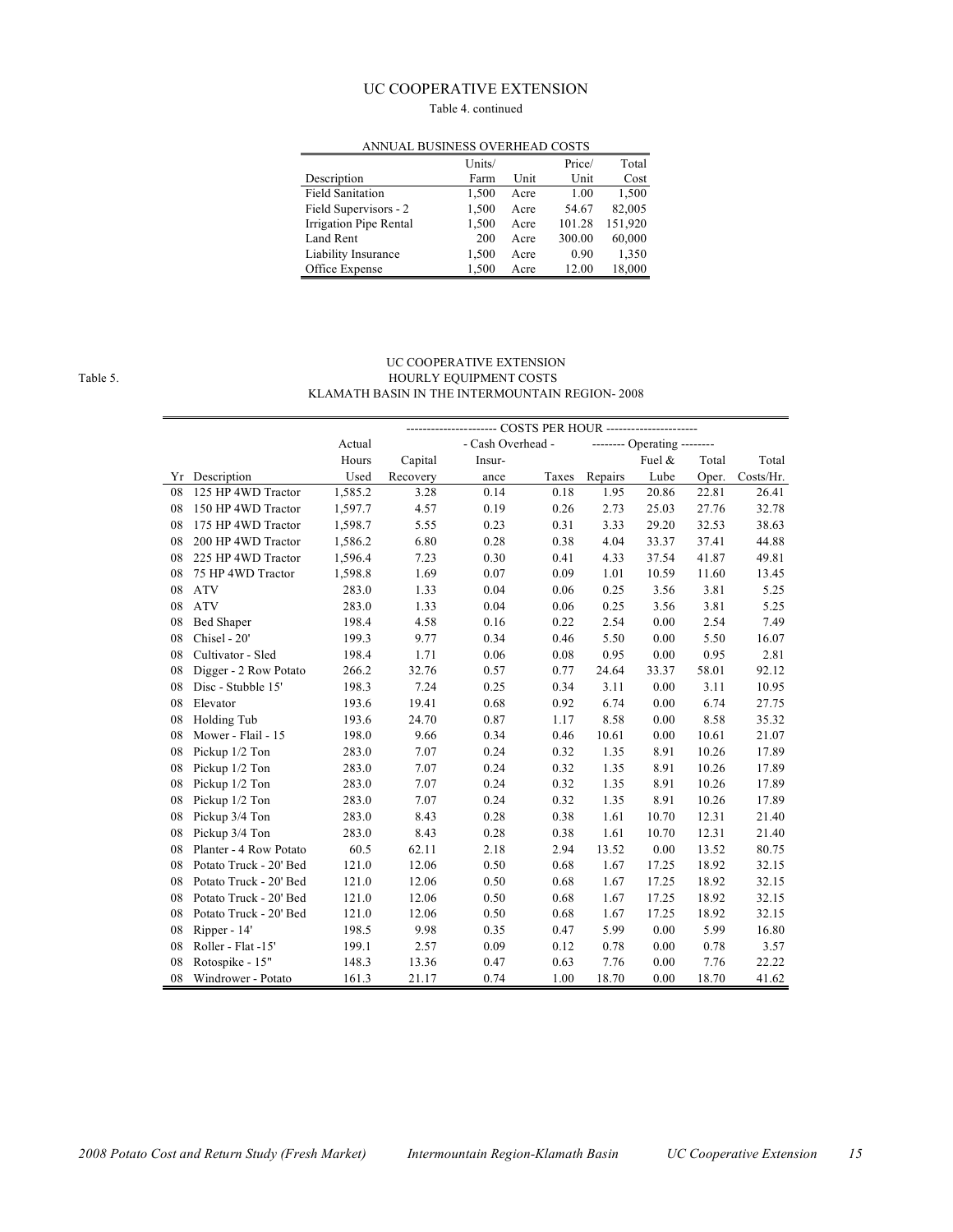#### UC COOPERATIVE EXTENSION

#### Table 4. continued

| ANNUAL BUSINESS OVERHEAD COSTS |        |      |        |         |  |  |  |  |  |  |
|--------------------------------|--------|------|--------|---------|--|--|--|--|--|--|
|                                | Units/ |      | Price/ | Total   |  |  |  |  |  |  |
| Description                    | Farm   | Unit | Unit   | Cost    |  |  |  |  |  |  |
| <b>Field Sanitation</b>        | 1,500  | Acre | 1.00   | 1,500   |  |  |  |  |  |  |
| Field Supervisors - 2          | 1,500  | Acre | 54.67  | 82,005  |  |  |  |  |  |  |
| Irrigation Pipe Rental         | 1,500  | Acre | 101.28 | 151,920 |  |  |  |  |  |  |
| Land Rent                      | 200    | Acre | 300.00 | 60,000  |  |  |  |  |  |  |
| Liability Insurance            | 1,500  | Acre | 0.90   | 1,350   |  |  |  |  |  |  |
| Office Expense                 | 1,500  | Acre | 12.00  | 18,000  |  |  |  |  |  |  |

#### ANNUAL BUSINESS OVERHEAD COSTS

#### UC COOPERATIVE EXTENSION Table 5. HOURLY EQUIPMENT COSTS KLAMATH BASIN IN THE INTERMOUNTAIN REGION- 2008

|    |                        | Actual  |          | - Cash Overhead - |       |         | -------- Operating -------- |       |           |
|----|------------------------|---------|----------|-------------------|-------|---------|-----------------------------|-------|-----------|
|    |                        | Hours   | Capital  | Insur-            |       |         | Fuel &                      | Total | Total     |
| Yr | Description            | Used    | Recovery | ance              | Taxes | Repairs | Lube                        | Oper. | Costs/Hr. |
| 08 | 125 HP 4WD Tractor     | 1,585.2 | 3.28     | 0.14              | 0.18  | 1.95    | 20.86                       | 22.81 | 26.41     |
| 08 | 150 HP 4WD Tractor     | 1,597.7 | 4.57     | 0.19              | 0.26  | 2.73    | 25.03                       | 27.76 | 32.78     |
| 08 | 175 HP 4WD Tractor     | 1,598.7 | 5.55     | 0.23              | 0.31  | 3.33    | 29.20                       | 32.53 | 38.63     |
| 08 | 200 HP 4WD Tractor     | 1,586.2 | 6.80     | 0.28              | 0.38  | 4.04    | 33.37                       | 37.41 | 44.88     |
| 08 | 225 HP 4WD Tractor     | 1,596.4 | 7.23     | 0.30              | 0.41  | 4.33    | 37.54                       | 41.87 | 49.81     |
| 08 | 75 HP 4WD Tractor      | 1,598.8 | 1.69     | 0.07              | 0.09  | 1.01    | 10.59                       | 11.60 | 13.45     |
| 08 | <b>ATV</b>             | 283.0   | 1.33     | 0.04              | 0.06  | 0.25    | 3.56                        | 3.81  | 5.25      |
| 08 | <b>ATV</b>             | 283.0   | 1.33     | 0.04              | 0.06  | 0.25    | 3.56                        | 3.81  | 5.25      |
| 08 | <b>Bed Shaper</b>      | 198.4   | 4.58     | 0.16              | 0.22  | 2.54    | 0.00                        | 2.54  | 7.49      |
| 08 | Chisel - 20'           | 199.3   | 9.77     | 0.34              | 0.46  | 5.50    | 0.00                        | 5.50  | 16.07     |
| 08 | Cultivator - Sled      | 198.4   | 1.71     | 0.06              | 0.08  | 0.95    | 0.00                        | 0.95  | 2.81      |
| 08 | Digger - 2 Row Potato  | 266.2   | 32.76    | 0.57              | 0.77  | 24.64   | 33.37                       | 58.01 | 92.12     |
| 08 | Disc - Stubble 15'     | 198.3   | 7.24     | 0.25              | 0.34  | 3.11    | 0.00                        | 3.11  | 10.95     |
| 08 | Elevator               | 193.6   | 19.41    | 0.68              | 0.92  | 6.74    | 0.00                        | 6.74  | 27.75     |
| 08 | Holding Tub            | 193.6   | 24.70    | 0.87              | 1.17  | 8.58    | 0.00                        | 8.58  | 35.32     |
| 08 | Mower - Flail - 15     | 198.0   | 9.66     | 0.34              | 0.46  | 10.61   | 0.00                        | 10.61 | 21.07     |
| 08 | Pickup 1/2 Ton         | 283.0   | 7.07     | 0.24              | 0.32  | 1.35    | 8.91                        | 10.26 | 17.89     |
| 08 | Pickup 1/2 Ton         | 283.0   | 7.07     | 0.24              | 0.32  | 1.35    | 8.91                        | 10.26 | 17.89     |
| 08 | Pickup 1/2 Ton         | 283.0   | 7.07     | 0.24              | 0.32  | 1.35    | 8.91                        | 10.26 | 17.89     |
| 08 | Pickup 1/2 Ton         | 283.0   | 7.07     | 0.24              | 0.32  | 1.35    | 8.91                        | 10.26 | 17.89     |
| 08 | Pickup 3/4 Ton         | 283.0   | 8.43     | 0.28              | 0.38  | 1.61    | 10.70                       | 12.31 | 21.40     |
| 08 | Pickup 3/4 Ton         | 283.0   | 8.43     | 0.28              | 0.38  | 1.61    | 10.70                       | 12.31 | 21.40     |
| 08 | Planter - 4 Row Potato | 60.5    | 62.11    | 2.18              | 2.94  | 13.52   | 0.00                        | 13.52 | 80.75     |
| 08 | Potato Truck - 20' Bed | 121.0   | 12.06    | 0.50              | 0.68  | 1.67    | 17.25                       | 18.92 | 32.15     |
| 08 | Potato Truck - 20' Bed | 121.0   | 12.06    | 0.50              | 0.68  | 1.67    | 17.25                       | 18.92 | 32.15     |
| 08 | Potato Truck - 20' Bed | 121.0   | 12.06    | 0.50              | 0.68  | 1.67    | 17.25                       | 18.92 | 32.15     |
| 08 | Potato Truck - 20' Bed | 121.0   | 12.06    | 0.50              | 0.68  | 1.67    | 17.25                       | 18.92 | 32.15     |
| 08 | Ripper - 14'           | 198.5   | 9.98     | 0.35              | 0.47  | 5.99    | 0.00                        | 5.99  | 16.80     |
| 08 | Roller - Flat -15'     | 199.1   | 2.57     | 0.09              | 0.12  | 0.78    | 0.00                        | 0.78  | 3.57      |
| 08 | Rotospike - 15"        | 148.3   | 13.36    | 0.47              | 0.63  | 7.76    | 0.00                        | 7.76  | 22.22     |
| 08 | Windrower - Potato     | 161.3   | 21.17    | 0.74              | 1.00  | 18.70   | 0.00                        | 18.70 | 41.62     |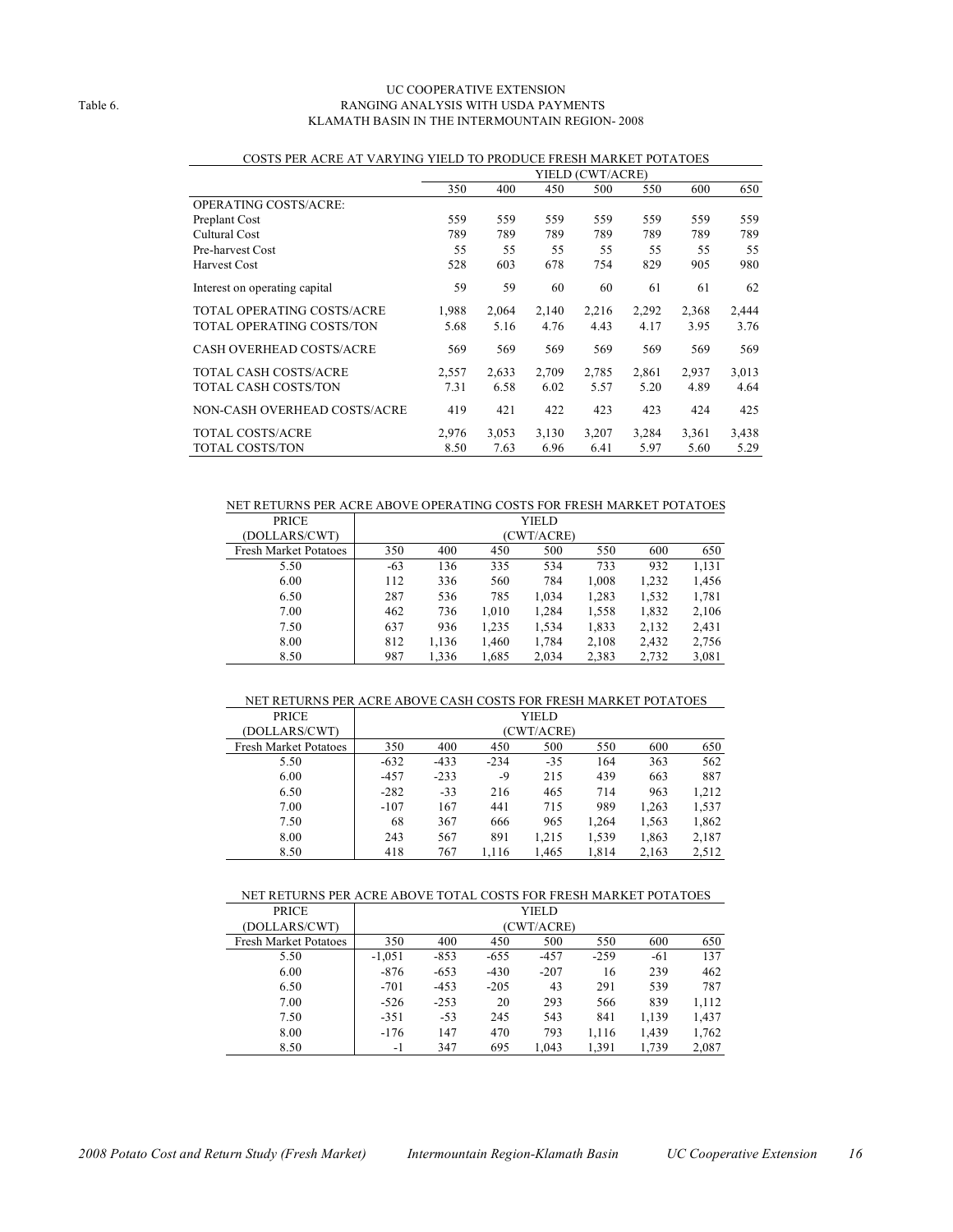#### UC COOPERATIVE EXTENSION Table 6. RANGING ANALYSIS WITH USDA PAYMENTS KLAMATH BASIN IN THE INTERMOUNTAIN REGION- 2008

|                                   |       |       |       | YIELD (CWT/ACRE) |       |       |       |
|-----------------------------------|-------|-------|-------|------------------|-------|-------|-------|
|                                   | 350   | 400   | 450   | 500              | 550   | 600   | 650   |
| <b>OPERATING COSTS/ACRE:</b>      |       |       |       |                  |       |       |       |
| Preplant Cost                     | 559   | 559   | 559   | 559              | 559   | 559   | 559   |
| Cultural Cost                     | 789   | 789   | 789   | 789              | 789   | 789   | 789   |
| Pre-harvest Cost                  | 55    | 55    | 55    | 55               | 55    | 55    | 55    |
| Harvest Cost                      | 528   | 603   | 678   | 754              | 829   | 905   | 980   |
| Interest on operating capital     | 59    | 59    | 60    | 60               | 61    | 61    | 62    |
| <b>TOTAL OPERATING COSTS/ACRE</b> | 1,988 | 2,064 | 2,140 | 2,216            | 2,292 | 2,368 | 2,444 |
| TOTAL OPERATING COSTS/TON         | 5.68  | 5.16  | 4.76  | 4.43             | 4.17  | 3.95  | 3.76  |
| CASH OVERHEAD COSTS/ACRE          | 569   | 569   | 569   | 569              | 569   | 569   | 569   |
| <b>TOTAL CASH COSTS/ACRE</b>      | 2,557 | 2,633 | 2,709 | 2,785            | 2,861 | 2,937 | 3,013 |
| <b>TOTAL CASH COSTS/TON</b>       | 7.31  | 6.58  | 6.02  | 5.57             | 5.20  | 4.89  | 4.64  |
| NON-CASH OVERHEAD COSTS/ACRE      | 419   | 421   | 422   | 423              | 423   | 424   | 425   |
| <b>TOTAL COSTS/ACRE</b>           | 2.976 | 3,053 | 3,130 | 3,207            | 3,284 | 3,361 | 3,438 |
| <b>TOTAL COSTS/TON</b>            | 8.50  | 7.63  | 6.96  | 6.41             | 5.97  | 5.60  | 5.29  |

#### COSTS PER ACRE AT VARYING YIELD TO PRODUCE FRESH MARKET POTATOES

#### NET RETURNS PER ACRE ABOVE OPERATING COSTS FOR FRESH MARKET POTATOES

| <b>PRICE</b>                 |       |       |       | YIELD      |       |       |       |
|------------------------------|-------|-------|-------|------------|-------|-------|-------|
| (DOLLARS/CWT)                |       |       |       | (CWT/ACRE) |       |       |       |
| <b>Fresh Market Potatoes</b> | 350   | 400   | 450   | 500        | 550   | 600   | 650   |
| 5.50                         | $-63$ | 136   | 335   | 534        | 733   | 932   | 1,131 |
| 6.00                         | 112   | 336   | 560   | 784        | 1,008 | 1,232 | 1,456 |
| 6.50                         | 287   | 536   | 785   | 1,034      | 1,283 | 1,532 | 1,781 |
| 7.00                         | 462   | 736   | 1,010 | 1,284      | 1,558 | 1,832 | 2,106 |
| 7.50                         | 637   | 936   | 1,235 | 1,534      | 1,833 | 2,132 | 2,431 |
| 8.00                         | 812   | 1,136 | 1,460 | 1,784      | 2,108 | 2,432 | 2,756 |
| 8.50                         | 987   | 1,336 | 1,685 | 2,034      | 2,383 | 2,732 | 3,081 |

#### NET RETURNS PER ACRE ABOVE CASH COSTS FOR FRESH MARKET POTATOES

| <b>PRICE</b>                 |        | YIELD      |        |       |       |       |       |  |  |
|------------------------------|--------|------------|--------|-------|-------|-------|-------|--|--|
| (DOLLARS/CWT)                |        | (CWT/ACRE) |        |       |       |       |       |  |  |
| <b>Fresh Market Potatoes</b> | 350    | 400        | 450    | 500   | 550   | 600   | 650   |  |  |
| 5.50                         | $-632$ | $-433$     | $-234$ | $-35$ | 164   | 363   | 562   |  |  |
| 6.00                         | $-457$ | $-233$     | -9     | 215   | 439   | 663   | 887   |  |  |
| 6.50                         | $-282$ | $-33$      | 216    | 465   | 714   | 963   | 1,212 |  |  |
| 7.00                         | $-107$ | 167        | 441    | 715   | 989   | 1,263 | 1,537 |  |  |
| 7.50                         | 68     | 367        | 666    | 965   | 1,264 | 1,563 | 1,862 |  |  |
| 8.00                         | 243    | 567        | 891    | 1,215 | 1,539 | 1,863 | 2,187 |  |  |
| 8.50                         | 418    | 767        | 1,116  | 1,465 | 1,814 | 2,163 | 2,512 |  |  |

#### NET RETURNS PER ACRE ABOVE TOTAL COSTS FOR FRESH MARKET POTATOES

| <b>PRICE</b>                 |          |        |        | YIELD      |        |       |       |
|------------------------------|----------|--------|--------|------------|--------|-------|-------|
| (DOLLARS/CWT)                |          |        |        | (CWT/ACRE) |        |       |       |
| <b>Fresh Market Potatoes</b> | 350      | 400    | 450    | 500        | 550    | 600   | 650   |
| 5.50                         | $-1,051$ | $-853$ | $-655$ | $-457$     | $-259$ | $-61$ | 137   |
| 6.00                         | $-876$   | $-653$ | $-430$ | $-207$     | 16     | 239   | 462   |
| 6.50                         | $-701$   | $-453$ | $-205$ | 43         | 291    | 539   | 787   |
| 7.00                         | $-526$   | $-253$ | 20     | 293        | 566    | 839   | 1,112 |
| 7.50                         | $-351$   | $-53$  | 245    | 543        | 841    | 1,139 | 1,437 |
| 8.00                         | $-176$   | 147    | 470    | 793        | 1,116  | 1,439 | 1,762 |
| 8.50                         | $-1$     | 347    | 695    | 1.043      | 1,391  | 1,739 | 2,087 |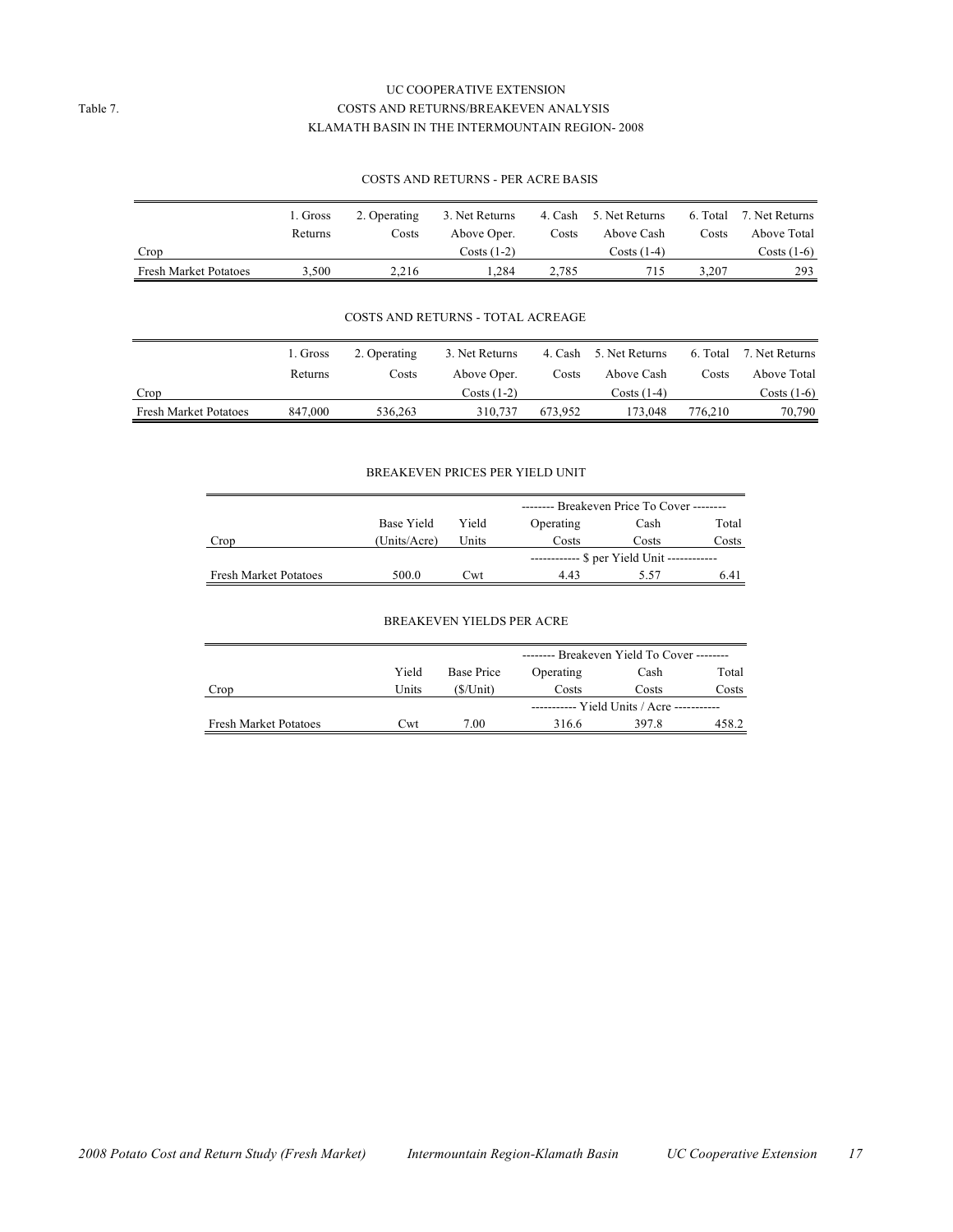#### UC COOPERATIVE EXTENSION Table 7. COSTS AND RETURNS/BREAKEVEN ANALYSIS KLAMATH BASIN IN THE INTERMOUNTAIN REGION- 2008

#### COSTS AND RETURNS - PER ACRE BASIS

|                              | 1. Gross | 2. Operating | 3. Net Returns | 4. Cash | 5. Net Returns | 6. Total | 7. Net Returns |
|------------------------------|----------|--------------|----------------|---------|----------------|----------|----------------|
|                              | Returns  | Costs        | Above Oper.    | Costs   | Above Cash     | Costs    | Above Total    |
| Crop                         |          |              | Costs (1-2)    |         | Costs (1-4)    |          | Costs (1-6)    |
| <b>Fresh Market Potatoes</b> | 3.500    | 2.216        | .284           | 2.785   | 715.           | 3.207    | 293            |

#### COSTS AND RETURNS - TOTAL ACREAGE

|                              | 1. Gross | 2. Operating | 3. Net Returns |         | 4. Cash 5. Net Returns |         | 6. Total 7. Net Returns |
|------------------------------|----------|--------------|----------------|---------|------------------------|---------|-------------------------|
|                              | Returns  | Costs        | Above Oper.    | Costs   | Above Cash             | Costs   | Above Total             |
| Crop                         |          |              | Costs (1-2)    |         | $Costs(1-4)$           |         | Costs (1-6)             |
| <b>Fresh Market Potatoes</b> | 847,000  | 536.263      | 310.737        | 673.952 | 173.048                | 776.210 | 70,790                  |

#### BREAKEVEN PRICES PER YIELD UNIT

|                              |              |                            | -------- Breakeven Price To Cover -------- |       |       |  |  |  |
|------------------------------|--------------|----------------------------|--------------------------------------------|-------|-------|--|--|--|
|                              | Base Yield   | Yield<br>Operating<br>Cash |                                            |       |       |  |  |  |
| Crop                         | (Units/Acre) | Units                      | Costs                                      | Costs | Costs |  |  |  |
|                              |              |                            | ----------- \$ per Yield Unit ------------ |       |       |  |  |  |
| <b>Fresh Market Potatoes</b> | 500.0        | (`wt                       | 443                                        | 5.57  | 6.41  |  |  |  |

#### BREAKEVEN YIELDS PER ACRE

|                              |       |            | -------- Breakeven Yield To Cover -------- |       |       |  |  |
|------------------------------|-------|------------|--------------------------------------------|-------|-------|--|--|
|                              | Yield | Base Price | Total<br>Operating<br>Cash                 |       |       |  |  |
| Crop                         | Units | (\$/Unit)  | Costs                                      | Costs | Costs |  |  |
|                              |       |            | ----------- Yield Units / Acre ----------- |       |       |  |  |
| <b>Fresh Market Potatoes</b> | Cwt   | 7.00       | 316.6                                      | 397.8 | 458.2 |  |  |